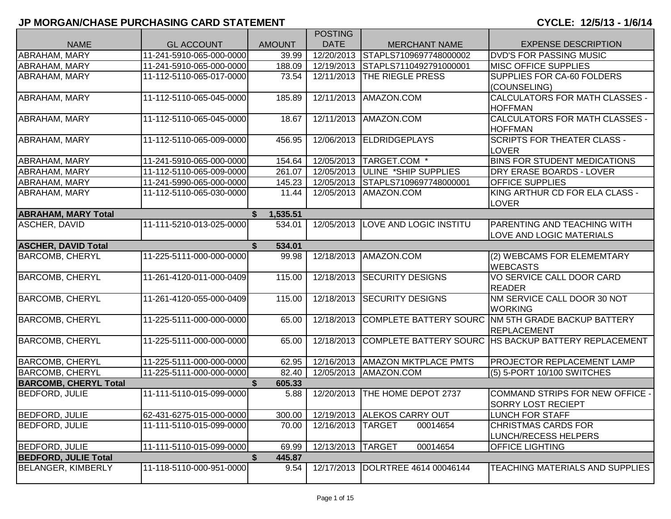|                              |                          |               | <b>POSTING</b>          |                               |                                                      |
|------------------------------|--------------------------|---------------|-------------------------|-------------------------------|------------------------------------------------------|
| <b>NAME</b>                  | <b>GL ACCOUNT</b>        | <b>AMOUNT</b> | <b>DATE</b>             | <b>MERCHANT NAME</b>          | <b>EXPENSE DESCRIPTION</b>                           |
| ABRAHAM, MARY                | 11-241-5910-065-000-0000 | 39.99         | $\sqrt{12}/20/2013$     | STAPLS7109697748000002        | <b>DVD'S FOR PASSING MUSIC</b>                       |
| ABRAHAM, MARY                | 11-241-5910-065-000-0000 | 188.09        | 12/19/2013              | STAPLS7110492791000001        | <b>MISC OFFICE SUPPLIES</b>                          |
| ABRAHAM, MARY                | 11-112-5110-065-017-0000 | 73.54         | 12/11/2013              | <b>THE RIEGLE PRESS</b>       | SUPPLIES FOR CA-60 FOLDERS                           |
|                              |                          |               |                         |                               | (COUNSELING)                                         |
| ABRAHAM, MARY                | 11-112-5110-065-045-0000 | 185.89        | 12/11/2013              | AMAZON.COM                    | CALCULATORS FOR MATH CLASSES -                       |
|                              |                          |               |                         |                               | <b>HOFFMAN</b>                                       |
| ABRAHAM, MARY                | 11-112-5110-065-045-0000 | 18.67         | 12/11/2013              | AMAZON.COM                    | CALCULATORS FOR MATH CLASSES -                       |
|                              |                          |               |                         |                               | <b>HOFFMAN</b>                                       |
| ABRAHAM, MARY                | 11-112-5110-065-009-0000 | 456.95        | 12/06/2013              | ELDRIDGEPLAYS                 | <b>SCRIPTS FOR THEATER CLASS -</b>                   |
|                              |                          |               |                         |                               | <b>LOVER</b>                                         |
| ABRAHAM, MARY                | 11-241-5910-065-000-0000 | 154.64        |                         | 12/05/2013   TARGET.COM *     | <b>BINS FOR STUDENT MEDICATIONS</b>                  |
| ABRAHAM, MARY                | 11-112-5110-065-009-0000 | 261.07        | 12/05/2013              | ULINE *SHIP SUPPLIES          | DRY ERASE BOARDS - LOVER                             |
| ABRAHAM, MARY                | 11-241-5990-065-000-0000 | 145.23        | 12/05/2013              | STAPLS7109697748000001        | <b>OFFICE SUPPLIES</b>                               |
| ABRAHAM, MARY                | 11-112-5110-065-030-0000 | 11.44         | 12/05/2013              | AMAZON.COM                    | KING ARTHUR CD FOR ELA CLASS -                       |
|                              |                          |               |                         |                               | <b>LOVER</b>                                         |
| <b>ABRAHAM, MARY Total</b>   |                          | 1,535.51      |                         |                               |                                                      |
| <b>ASCHER, DAVID</b>         | 11-111-5210-013-025-0000 | 534.01        | 12/05/2013              | <b>LOVE AND LOGIC INSTITU</b> | <b>PARENTING AND TEACHING WITH</b>                   |
|                              |                          |               |                         |                               | <b>LOVE AND LOGIC MATERIALS</b>                      |
| <b>ASCHER, DAVID Total</b>   |                          | 534.01<br>S.  |                         |                               |                                                      |
| <b>BARCOMB, CHERYL</b>       | 11-225-5111-000-000-0000 | 99.98         | 12/18/2013              | AMAZON.COM                    | (2) WEBCAMS FOR ELEMEMTARY                           |
|                              |                          |               |                         |                               | <b>WEBCASTS</b>                                      |
| <b>BARCOMB, CHERYL</b>       | 11-261-4120-011-000-0409 | 115.00        | 12/18/2013              | <b>SECURITY DESIGNS</b>       | VO SERVICE CALL DOOR CARD<br><b>READER</b>           |
| <b>BARCOMB, CHERYL</b>       |                          | 115.00        | 12/18/2013              | <b>SECURITY DESIGNS</b>       | NM SERVICE CALL DOOR 30 NOT                          |
|                              | 11-261-4120-055-000-0409 |               |                         |                               | <b>WORKING</b>                                       |
| <b>BARCOMB, CHERYL</b>       | 11-225-5111-000-000-0000 | 65.00         | $\overline{12}/18/2013$ |                               | COMPLETE BATTERY SOURC NM 5TH GRADE BACKUP BATTERY   |
|                              |                          |               |                         |                               | <b>REPLACEMENT</b>                                   |
| <b>BARCOMB, CHERYL</b>       | 11-225-5111-000-000-0000 | 65.00         | 12/18/2013              |                               | COMPLETE BATTERY SOURC HS BACKUP BATTERY REPLACEMENT |
|                              |                          |               |                         |                               |                                                      |
| <b>BARCOMB, CHERYL</b>       | 11-225-5111-000-000-0000 | 62.95         | 12/16/2013              | <b>AMAZON MKTPLACE PMTS</b>   | <b>PROJECTOR REPLACEMENT LAMP</b>                    |
| <b>BARCOMB, CHERYL</b>       | 11-225-5111-000-000-0000 | 82.40         | 12/05/2013              | AMAZON.COM                    | (5) 5-PORT 10/100 SWITCHES                           |
| <b>BARCOMB, CHERYL Total</b> |                          | 605.33        |                         |                               |                                                      |
| <b>BEDFORD, JULIE</b>        | 11-111-5110-015-099-0000 | 5.88          | 12/20/2013              | <b>THE HOME DEPOT 2737</b>    | COMMAND STRIPS FOR NEW OFFICE -                      |
|                              |                          |               |                         |                               | <b>SORRY LOST RECIEPT</b>                            |
| <b>BEDFORD, JULIE</b>        | 62-431-6275-015-000-0000 | 300.00        |                         | 12/19/2013 ALEKOS CARRY OUT   | <b>LUNCH FOR STAFF</b>                               |
| <b>BEDFORD, JULIE</b>        | 11-111-5110-015-099-0000 | 70.00         | 12/16/2013              | <b>TARGET</b><br>00014654     | <b>CHRISTMAS CARDS FOR</b>                           |
|                              |                          |               |                         |                               | LUNCH/RECESS HELPERS                                 |
| <b>BEDFORD, JULIE</b>        | 11-111-5110-015-099-0000 | 69.99         | 12/13/2013              | <b>TARGET</b><br>00014654     | <b>OFFICE LIGHTING</b>                               |
| <b>BEDFORD, JULIE Total</b>  |                          | 445.87        |                         |                               |                                                      |
| BELANGER, KIMBERLY           | 11-118-5110-000-951-0000 | 9.54          | 12/17/2013              | DOLRTREE 4614 00046144        | TEACHING MATERIALS AND SUPPLIES                      |
|                              |                          |               |                         |                               |                                                      |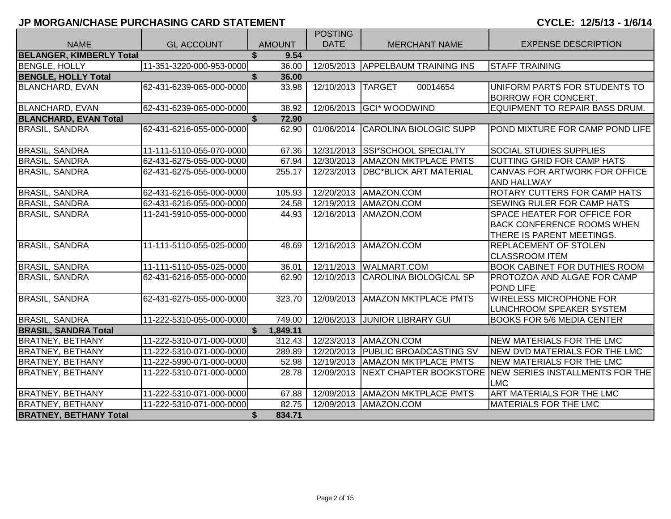|                                 |                          |               | <b>POSTING</b>    |                                     |                                                       |
|---------------------------------|--------------------------|---------------|-------------------|-------------------------------------|-------------------------------------------------------|
| <b>NAME</b>                     | <b>GL ACCOUNT</b>        | <b>AMOUNT</b> | <b>DATE</b>       | <b>MERCHANT NAME</b>                | <b>EXPENSE DESCRIPTION</b>                            |
| <b>BELANGER, KIMBERLY Total</b> |                          | \$.<br>9.54   |                   |                                     |                                                       |
| <b>BENGLE, HOLLY</b>            | 11-351-3220-000-953-0000 | 36.00         |                   | 12/05/2013 APPELBAUM TRAINING INS   | <b>STAFF TRAINING</b>                                 |
| <b>BENGLE, HOLLY Total</b>      |                          | \$<br>36.00   |                   |                                     |                                                       |
| <b>BLANCHARD, EVAN</b>          | 62-431-6239-065-000-0000 | 33.98         | 12/10/2013 TARGET | 00014654                            | UNIFORM PARTS FOR STUDENTS TO                         |
|                                 |                          |               |                   |                                     | <b>BORROW FOR CONCERT.</b>                            |
| <b>BLANCHARD, EVAN</b>          | 62-431-6239-065-000-0000 | 38.92         |                   | 12/06/2013 GCI* WOODWIND            | EQUIPMENT TO REPAIR BASS DRUM.                        |
| <b>BLANCHARD, EVAN Total</b>    |                          | 72.90         |                   |                                     |                                                       |
| <b>BRASIL, SANDRA</b>           | 62-431-6216-055-000-0000 | 62.90         | 01/06/2014        | CAROLINA BIOLOGIC SUPP              | POND MIXTURE FOR CAMP POND LIFE                       |
| <b>BRASIL, SANDRA</b>           | 11-111-5110-055-070-0000 | 67.36         |                   | 12/31/2013 SSI*SCHOOL SPECIALTY     | <b>SOCIAL STUDIES SUPPLIES</b>                        |
| <b>BRASIL, SANDRA</b>           | 62-431-6275-055-000-0000 | 67.94         |                   | 12/30/2013   AMAZON MKTPLACE PMTS   | <b>CUTTING GRID FOR CAMP HATS</b>                     |
| <b>BRASIL, SANDRA</b>           | 62-431-6275-055-000-0000 | 255.17        | 12/23/2013        | <b>DBC*BLICK ART MATERIAL</b>       | CANVAS FOR ARTWORK FOR OFFICE                         |
|                                 |                          |               |                   |                                     | <b>AND HALLWAY</b>                                    |
| <b>BRASIL, SANDRA</b>           | 62-431-6216-055-000-0000 | 105.93        |                   | 12/20/2013   AMAZON.COM             | ROTARY CUTTERS FOR CAMP HATS                          |
| <b>BRASIL, SANDRA</b>           | 62-431-6216-055-000-0000 | 24.58         |                   | 12/19/2013   AMAZON.COM             | SEWING RULER FOR CAMP HATS                            |
| <b>BRASIL, SANDRA</b>           | 11-241-5910-055-000-0000 | 44.93         |                   | 12/16/2013   AMAZON.COM             | SPACE HEATER FOR OFFICE FOR                           |
|                                 |                          |               |                   |                                     | <b>BACK CONFERENCE ROOMS WHEN</b>                     |
|                                 |                          |               |                   |                                     | THERE IS PARENT MEETINGS.                             |
| <b>BRASIL, SANDRA</b>           | 11-111-5110-055-025-0000 | 48.69         |                   | 12/16/2013 AMAZON.COM               | REPLACEMENT OF STOLEN                                 |
|                                 |                          |               |                   |                                     | <b>CLASSROOM ITEM</b>                                 |
| <b>BRASIL, SANDRA</b>           | 11-111-5110-055-025-0000 | 36.01         |                   | 12/11/2013 WALMART.COM              | <b>BOOK CABINET FOR DUTHIES ROOM</b>                  |
| <b>BRASIL, SANDRA</b>           | 62-431-6216-055-000-0000 | 62.90         |                   | 12/10/2013 CAROLINA BIOLOGICAL SP   | PROTOZOA AND ALGAE FOR CAMP<br>POND LIFE              |
| <b>BRASIL, SANDRA</b>           | 62-431-6275-055-000-0000 | 323.70        |                   | 12/09/2013   AMAZON MKTPLACE PMTS   | <b>WIRELESS MICROPHONE FOR</b>                        |
|                                 |                          |               |                   |                                     | LUNCHROOM SPEAKER SYSTEM                              |
| <b>BRASIL, SANDRA</b>           | 11-222-5310-055-000-0000 | 749.00        |                   | 12/06/2013 JUNIOR LIBRARY GUI       | <b>BOOKS FOR 5/6 MEDIA CENTER</b>                     |
| <b>BRASIL, SANDRA Total</b>     |                          | 1,849.11      |                   |                                     |                                                       |
| <b>BRATNEY, BETHANY</b>         | 11-222-5310-071-000-0000 | 312.43        |                   | 12/23/2013   AMAZON.COM             | NEW MATERIALS FOR THE LMC                             |
| <b>BRATNEY, BETHANY</b>         | 11-222-5310-071-000-0000 | 289.89        |                   | 12/20/2013   PUBLIC BROADCASTING SV | NEW DVD MATERIALS FOR THE LMC                         |
| <b>BRATNEY, BETHANY</b>         | 11-222-5990-071-000-0000 | 52.98         |                   | 12/19/2013   AMAZON MKTPLACE PMTS   | <b>NEW MATERIALS FOR THE LMC</b>                      |
| <b>BRATNEY, BETHANY</b>         | 11-222-5310-071-000-0000 | 28.78         | 12/09/2013        | <b>INEXT CHAPTER BOOKSTORE</b>      | <b>INEW SERIES INSTALLMENTS FOR THE</b><br><b>LMC</b> |
| <b>BRATNEY, BETHANY</b>         | 11-222-5310-071-000-0000 | 67.88         |                   | 12/09/2013   AMAZON MKTPLACE PMTS   | ART MATERIALS FOR THE LMC                             |
| <b>BRATNEY, BETHANY</b>         | 11-222-5310-071-000-0000 | 82.75         |                   | 12/09/2013   AMAZON.COM             | <b>MATERIALS FOR THE LMC</b>                          |
| <b>BRATNEY, BETHANY Total</b>   |                          | \$<br>834.71  |                   |                                     |                                                       |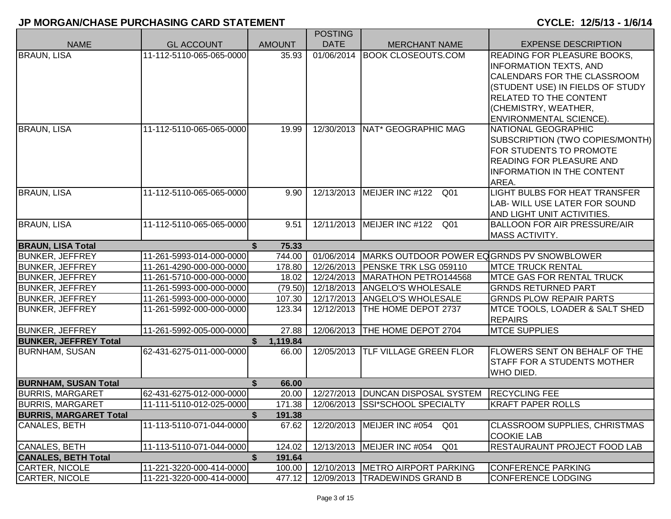|                                                        |                                                      |                 | <b>POSTING</b> |                                                      |                                      |
|--------------------------------------------------------|------------------------------------------------------|-----------------|----------------|------------------------------------------------------|--------------------------------------|
| <b>NAME</b>                                            | <b>GL ACCOUNT</b>                                    | <b>AMOUNT</b>   | <b>DATE</b>    | <b>MERCHANT NAME</b>                                 | <b>EXPENSE DESCRIPTION</b>           |
| <b>BRAUN, LISA</b>                                     | 11-112-5110-065-065-0000                             | 35.93           | 01/06/2014     | <b>BOOK CLOSEOUTS.COM</b>                            | <b>READING FOR PLEASURE BOOKS.</b>   |
|                                                        |                                                      |                 |                |                                                      | <b>INFORMATION TEXTS, AND</b>        |
|                                                        |                                                      |                 |                |                                                      | CALENDARS FOR THE CLASSROOM          |
|                                                        |                                                      |                 |                |                                                      | (STUDENT USE) IN FIELDS OF STUDY     |
|                                                        |                                                      |                 |                |                                                      | RELATED TO THE CONTENT               |
|                                                        |                                                      |                 |                |                                                      | (CHEMISTRY, WEATHER,                 |
|                                                        |                                                      |                 |                |                                                      | <b>ENVIRONMENTAL SCIENCE).</b>       |
| <b>BRAUN, LISA</b>                                     | 11-112-5110-065-065-0000                             | 19.99           |                | 12/30/2013   NAT* GEOGRAPHIC MAG                     | NATIONAL GEOGRAPHIC                  |
|                                                        |                                                      |                 |                |                                                      | SUBSCRIPTION (TWO COPIES/MONTH)      |
|                                                        |                                                      |                 |                |                                                      | FOR STUDENTS TO PROMOTE              |
|                                                        |                                                      |                 |                |                                                      | <b>READING FOR PLEASURE AND</b>      |
|                                                        |                                                      |                 |                |                                                      | <b>INFORMATION IN THE CONTENT</b>    |
|                                                        |                                                      |                 |                |                                                      | AREA.                                |
| <b>BRAUN, LISA</b>                                     | 11-112-5110-065-065-0000                             | 9.90            |                | 12/13/2013 MEIJER INC #122<br>Q01                    | <b>LIGHT BULBS FOR HEAT TRANSFER</b> |
|                                                        |                                                      |                 |                |                                                      | LAB- WILL USE LATER FOR SOUND        |
|                                                        |                                                      |                 |                |                                                      | AND LIGHT UNIT ACTIVITIES.           |
| <b>BRAUN, LISA</b>                                     | 11-112-5110-065-065-0000                             | 9.51            | 12/11/2013     | MEIJER INC #122<br>Q01                               | <b>BALLOON FOR AIR PRESSURE/AIR</b>  |
|                                                        |                                                      |                 |                |                                                      | <b>MASS ACTIVITY.</b>                |
| <b>BRAUN, LISA Total</b>                               |                                                      | 75.33           |                |                                                      |                                      |
| <b>BUNKER, JEFFREY</b>                                 | 11-261-5993-014-000-0000                             | 744.00          |                | 01/06/2014 MARKS OUTDOOR POWER EQGRNDS PV SNOWBLOWER |                                      |
| <b>BUNKER, JEFFREY</b>                                 | 11-261-4290-000-000-0000                             | 178.80          |                | 12/26/2013   PENSKE TRK LSG 059110                   | <b>MTCE TRUCK RENTAL</b>             |
| <b>BUNKER, JEFFREY</b>                                 | 11-261-5710-000-000-0000                             | 18.02           |                | 12/24/2013   MARATHON PETRO144568                    | <b>MTCE GAS FOR RENTAL TRUCK</b>     |
| <b>BUNKER, JEFFREY</b>                                 | 11-261-5993-000-000-0000                             | (79.50)         |                | 12/18/2013   ANGELO'S WHOLESALE                      | <b>GRNDS RETURNED PART</b>           |
| <b>BUNKER, JEFFREY</b>                                 | 11-261-5993-000-000-0000                             | 107.30          |                | 12/17/2013   ANGELO'S WHOLESALE                      | <b>GRNDS PLOW REPAIR PARTS</b>       |
| <b>BUNKER, JEFFREY</b>                                 | 11-261-5992-000-000-0000                             | 123.34          |                | 12/12/2013   THE HOME DEPOT 2737                     | MTCE TOOLS, LOADER & SALT SHED       |
|                                                        |                                                      |                 |                |                                                      | <b>REPAIRS</b>                       |
| <b>BUNKER, JEFFREY</b>                                 | 11-261-5992-005-000-0000                             | 27.88           |                | 12/06/2013 THE HOME DEPOT 2704                       | <b>MTCE SUPPLIES</b>                 |
| <b>BUNKER, JEFFREY Total</b>                           |                                                      | 1,119.84        |                |                                                      |                                      |
| <b>BURNHAM, SUSAN</b>                                  | 62-431-6275-011-000-0000                             | 66.00           | 12/05/2013     | <b>TLF VILLAGE GREEN FLOR</b>                        | <b>FLOWERS SENT ON BEHALF OF THE</b> |
|                                                        |                                                      |                 |                |                                                      | <b>STAFF FOR A STUDENTS MOTHER</b>   |
|                                                        |                                                      |                 |                |                                                      | WHO DIED.                            |
| <b>BURNHAM, SUSAN Total</b><br><b>BURRIS, MARGARET</b> |                                                      | \$<br>66.00     |                | 12/27/2013   DUNCAN DISPOSAL SYSTEM                  | <b>RECYCLING FEE</b>                 |
| <b>BURRIS, MARGARET</b>                                | 62-431-6275-012-000-0000<br>11-111-5110-012-025-0000 | 20.00<br>171.38 |                | 12/06/2013 SSI*SCHOOL SPECIALTY                      | <b>KRAFT PAPER ROLLS</b>             |
| <b>BURRIS, MARGARET Total</b>                          |                                                      | 191.38<br>\$    |                |                                                      |                                      |
| <b>CANALES, BETH</b>                                   | 11-113-5110-071-044-0000                             | 67.62           | 12/20/2013     | MEIJER INC #054<br>Q01                               | <b>CLASSROOM SUPPLIES, CHRISTMAS</b> |
|                                                        |                                                      |                 |                |                                                      | <b>COOKIE LAB</b>                    |
| <b>CANALES, BETH</b>                                   | 11-113-5110-071-044-0000                             | 124.02          |                | 12/13/2013   MEIJER INC #054<br>Q01                  | <b>RESTAURAUNT PROJECT FOOD LAB</b>  |
| <b>CANALES, BETH Total</b>                             |                                                      | \$<br>191.64    |                |                                                      |                                      |
| <b>CARTER, NICOLE</b>                                  | 11-221-3220-000-414-0000                             | 100.00          |                | 12/10/2013   METRO AIRPORT PARKING                   | <b>CONFERENCE PARKING</b>            |
| CARTER, NICOLE                                         | 11-221-3220-000-414-0000                             | 477.12          |                | 12/09/2013   TRADEWINDS GRAND B                      | <b>CONFERENCE LODGING</b>            |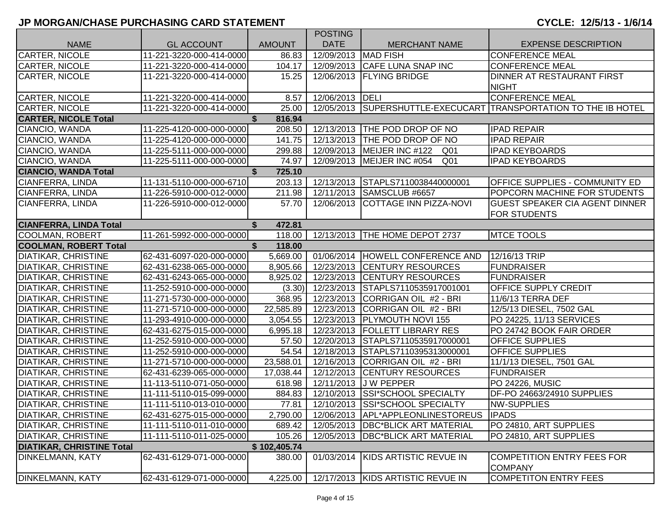|                                  |                          |               | <b>POSTING</b>         |                                         |                                                                  |
|----------------------------------|--------------------------|---------------|------------------------|-----------------------------------------|------------------------------------------------------------------|
| <b>NAME</b>                      | <b>GL ACCOUNT</b>        | <b>AMOUNT</b> | <b>DATE</b>            | <b>MERCHANT NAME</b>                    | <b>EXPENSE DESCRIPTION</b>                                       |
| <b>CARTER, NICOLE</b>            | 11-221-3220-000-414-0000 | 86.83         | 12/09/2013             | <b>MAD FISH</b>                         | <b>CONFERENCE MEAL</b>                                           |
| <b>CARTER, NICOLE</b>            | 11-221-3220-000-414-0000 | 104.17        |                        | 12/09/2013 CAFE LUNA SNAP INC           | <b>CONFERENCE MEAL</b>                                           |
| <b>CARTER, NICOLE</b>            | 11-221-3220-000-414-0000 | 15.25         |                        | 12/06/2013   FLYING BRIDGE              | DINNER AT RESTAURANT FIRST                                       |
|                                  |                          |               |                        |                                         | <b>NIGHT</b>                                                     |
| <b>CARTER, NICOLE</b>            | 11-221-3220-000-414-0000 | 8.57          | 12/06/2013 <b>DELI</b> |                                         | <b>CONFERENCE MEAL</b>                                           |
| <b>CARTER, NICOLE</b>            | 11-221-3220-000-414-0000 | 25.00         |                        |                                         | 12/05/2013 SUPERSHUTTLE-EXECUCART TRANSPORTATION TO THE IB HOTEL |
| <b>CARTER, NICOLE Total</b>      |                          | 816.94        |                        |                                         |                                                                  |
| CIANCIO, WANDA                   | 11-225-4120-000-000-0000 | 208.50        |                        | 12/13/2013 THE POD DROP OF NO           | <b>IPAD REPAIR</b>                                               |
| CIANCIO, WANDA                   | 11-225-4120-000-000-0000 | 141.75        |                        | 12/13/2013 THE POD DROP OF NO           | <b>IPAD REPAIR</b>                                               |
| CIANCIO, WANDA                   | 11-225-5111-000-000-0000 | 299.88        |                        | 12/09/2013 MEIJER INC #122 Q01          | <b>IPAD KEYBOARDS</b>                                            |
| CIANCIO, WANDA                   | 11-225-5111-000-000-0000 | 74.97         |                        | 12/09/2013   MEIJER INC #054<br>Q01     | <b>IPAD KEYBOARDS</b>                                            |
| <b>CIANCIO, WANDA Total</b>      |                          | \$<br>725.10  |                        |                                         |                                                                  |
| CIANFERRA, LINDA                 | 11-131-5110-000-000-6710 | 203.13        | 12/13/2013             | STAPLS7110038440000001                  | OFFICE SUPPLIES - COMMUNITY ED                                   |
| CIANFERRA, LINDA                 | 11-226-5910-000-012-0000 | 211.98        |                        | 12/11/2013 SAMSCLUB #6657               | POPCORN MACHINE FOR STUDENTS                                     |
| CIANFERRA, LINDA                 | 11-226-5910-000-012-0000 | 57.70         | 12/06/2013             | <b>COTTAGE INN PIZZA-NOVI</b>           | <b>GUEST SPEAKER CIA AGENT DINNER</b>                            |
|                                  |                          |               |                        |                                         | <b>FOR STUDENTS</b>                                              |
| <b>CIANFERRA, LINDA Total</b>    |                          | \$<br>472.81  |                        |                                         |                                                                  |
| <b>COOLMAN, ROBERT</b>           | 11-261-5992-000-000-0000 | 118.00        |                        | 12/13/2013   THE HOME DEPOT 2737        | <b>MTCE TOOLS</b>                                                |
| <b>COOLMAN, ROBERT Total</b>     |                          | S.<br>118.00  |                        |                                         |                                                                  |
| <b>DIATIKAR, CHRISTINE</b>       | 62-431-6097-020-000-0000 | 5,669.00      | 01/06/2014             | HOWELL CONFERENCE AND                   | 12/16/13 TRIP                                                    |
| <b>DIATIKAR, CHRISTINE</b>       | 62-431-6238-065-000-0000 | 8,905.66      | 12/23/2013             | <b>CENTURY RESOURCES</b>                | <b>FUNDRAISER</b>                                                |
| <b>DIATIKAR, CHRISTINE</b>       | 62-431-6243-065-000-0000 | 8,925.02      |                        | 12/23/2013 CENTURY RESOURCES            | <b>FUNDRAISER</b>                                                |
| <b>DIATIKAR, CHRISTINE</b>       | 11-252-5910-000-000-0000 | (3.30)        |                        | 12/23/2013 STAPLS7110535917001001       | <b>OFFICE SUPPLY CREDIT</b>                                      |
| <b>DIATIKAR, CHRISTINE</b>       | 11-271-5730-000-000-0000 | 368.95        | 12/23/2013             | CORRIGAN OIL #2 - BRI                   | 11/6/13 TERRA DEF                                                |
| DIATIKAR, CHRISTINE              | 11-271-5710-000-000-0000 | 22,585.89     |                        | 12/23/2013 CORRIGAN OIL #2 - BRI        | 12/5/13 DIESEL, 7502 GAL                                         |
| <b>DIATIKAR, CHRISTINE</b>       | 11-293-4910-000-000-0000 | 3,054.55      | 12/23/2013             | <b>PLYMOUTH NOVI 155</b>                | PO 24225, 11/13 SERVICES                                         |
| <b>DIATIKAR, CHRISTINE</b>       | 62-431-6275-015-000-0000 | 6,995.18      | 12/23/2013             | <b>FOLLETT LIBRARY RES</b>              | PO 24742 BOOK FAIR ORDER                                         |
| <b>DIATIKAR, CHRISTINE</b>       | 11-252-5910-000-000-0000 | 57.50         |                        | 12/20/2013 STAPLS7110535917000001       | <b>OFFICE SUPPLIES</b>                                           |
| <b>DIATIKAR, CHRISTINE</b>       | 11-252-5910-000-000-0000 | 54.54         | 12/18/2013             | STAPLS7110395313000001                  | OFFICE SUPPLIES                                                  |
| <b>DIATIKAR, CHRISTINE</b>       | 11-271-5710-000-000-0000 | 23,588.01     | 12/16/2013             | CORRIGAN OIL #2 - BRI                   | 11/1/13 DIESEL, 7501 GAL                                         |
| <b>DIATIKAR, CHRISTINE</b>       | 62-431-6239-065-000-0000 | 17,038.44     | 12/12/2013             | <b>CENTURY RESOURCES</b>                | <b>FUNDRAISER</b>                                                |
| <b>DIATIKAR, CHRISTINE</b>       | 11-113-5110-071-050-0000 | 618.98        | 12/11/2013             | J W PEPPER                              | PO 24226, MUSIC                                                  |
| <b>DIATIKAR, CHRISTINE</b>       | 11-111-5110-015-099-0000 | 884.83        | 12/10/2013             | <b>SSI*SCHOOL SPECIALTY</b>             | DF-PO 24663/24910 SUPPLIES                                       |
| <b>DIATIKAR, CHRISTINE</b>       | 11-111-5110-013-010-0000 | 77.81         |                        | 12/10/2013 SSI*SCHOOL SPECIALTY         | <b>NW-SUPPLIES</b>                                               |
| <b>DIATIKAR, CHRISTINE</b>       | 62-431-6275-015-000-0000 | 2,790.00      |                        | 12/06/2013 APL*APPLEONLINESTOREUS IPADS |                                                                  |
| <b>DIATIKAR, CHRISTINE</b>       | 11-111-5110-011-010-0000 | 689.42        | 12/05/2013             | <b>DBC*BLICK ART MATERIAL</b>           | PO 24810, ART SUPPLIES                                           |
| <b>DIATIKAR, CHRISTINE</b>       | 11-111-5110-011-025-0000 | 105.26        |                        | 12/05/2013   DBC*BLICK ART MATERIAL     | PO 24810, ART SUPPLIES                                           |
| <b>DIATIKAR, CHRISTINE Total</b> |                          | \$102,405.74  |                        |                                         |                                                                  |
| <b>DINKELMANN, KATY</b>          | 62-431-6129-071-000-0000 | 380.00        | 01/03/2014             | KIDS ARTISTIC REVUE IN                  | <b>COMPETITION ENTRY FEES FOR</b>                                |
|                                  |                          |               |                        |                                         | <b>COMPANY</b>                                                   |
| <b>DINKELMANN, KATY</b>          | 62-431-6129-071-000-0000 | 4,225.00      |                        | 12/17/2013   KIDS ARTISTIC REVUE IN     | <b>COMPETITON ENTRY FEES</b>                                     |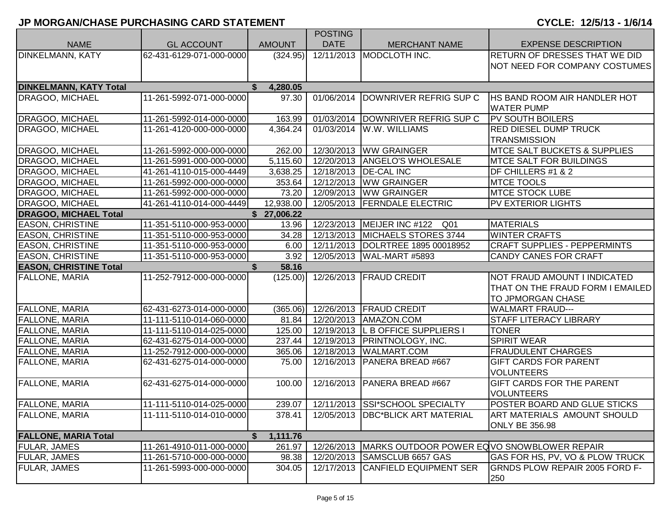|                               |                          |                       | <b>POSTING</b> |                                            |                                            |
|-------------------------------|--------------------------|-----------------------|----------------|--------------------------------------------|--------------------------------------------|
| <b>NAME</b>                   | <b>GL ACCOUNT</b>        | <b>AMOUNT</b>         | <b>DATE</b>    | <b>MERCHANT NAME</b>                       | <b>EXPENSE DESCRIPTION</b>                 |
| <b>DINKELMANN, KATY</b>       | 62-431-6129-071-000-0000 | (324.95)              | 12/11/2013     | MODCLOTH INC.                              | <b>RETURN OF DRESSES THAT WE DID</b>       |
|                               |                          |                       |                |                                            | NOT NEED FOR COMPANY COSTUMES              |
|                               |                          |                       |                |                                            |                                            |
| <b>DINKELMANN, KATY Total</b> |                          | 4,280.05<br>S.        |                |                                            |                                            |
| <b>DRAGOO, MICHAEL</b>        | 11-261-5992-071-000-0000 | 97.30                 | 01/06/2014     | DOWNRIVER REFRIG SUP C                     | <b>HS BAND ROOM AIR HANDLER HOT</b>        |
|                               |                          |                       |                |                                            | <b>WATER PUMP</b>                          |
| <b>DRAGOO, MICHAEL</b>        | 11-261-5992-014-000-0000 | 163.99                |                | 01/03/2014 DOWNRIVER REFRIG SUP C          | <b>PV SOUTH BOILERS</b>                    |
| <b>DRAGOO, MICHAEL</b>        | 11-261-4120-000-000-0000 | 4,364.24              |                | 01/03/2014   W.W. WILLIAMS                 | <b>RED DIESEL DUMP TRUCK</b>               |
|                               |                          |                       |                |                                            | <b>TRANSMISSION</b>                        |
| <b>DRAGOO, MICHAEL</b>        | 11-261-5992-000-000-0000 | 262.00                |                | 12/30/2013 WW GRAINGER                     | <b>MTCE SALT BUCKETS &amp; SUPPLIES</b>    |
| <b>DRAGOO, MICHAEL</b>        | 11-261-5991-000-000-0000 | $\overline{5,}115.60$ |                | 12/20/2013   ANGELO'S WHOLESALE            | <b>MTCE SALT FOR BUILDINGS</b>             |
| <b>DRAGOO, MICHAEL</b>        | 41-261-4110-015-000-4449 | 3,638.25              |                | 12/18/2013   DE-CAL INC                    | DF CHILLERS #1 & 2                         |
| <b>DRAGOO, MICHAEL</b>        | 11-261-5992-000-000-0000 | 353.64                |                | 12/12/2013 WW GRAINGER                     | <b>MTCE TOOLS</b>                          |
| <b>DRAGOO, MICHAEL</b>        | 11-261-5992-000-000-0000 | 73.20                 |                | 12/09/2013 WW GRAINGER                     | <b>MTCE STOCK LUBE</b>                     |
| <b>DRAGOO, MICHAEL</b>        | 41-261-4110-014-000-4449 | 12,938.00             | 12/05/2013     | <b>FERNDALE ELECTRIC</b>                   | <b>PV EXTERIOR LIGHTS</b>                  |
| <b>DRAGOO, MICHAEL Total</b>  |                          | \$27,006.22           |                |                                            |                                            |
| <b>EASON, CHRISTINE</b>       | 11-351-5110-000-953-0000 | 13.96                 |                | 12/23/2013   MEIJER INC #122<br>Q01        | <b>MATERIALS</b>                           |
| <b>EASON, CHRISTINE</b>       | 11-351-5110-000-953-0000 | 34.28                 | 12/13/2013     | <b>MICHAELS STORES 3744</b>                | <b>WINTER CRAFTS</b>                       |
| <b>EASON, CHRISTINE</b>       | 11-351-5110-000-953-0000 | 6.00                  | 12/11/2013     | DOLRTREE 1895 00018952                     | <b>CRAFT SUPPLIES - PEPPERMINTS</b>        |
| <b>EASON, CHRISTINE</b>       | 11-351-5110-000-953-0000 | 3.92                  |                | 12/05/2013   WAL-MART #5893                | <b>CANDY CANES FOR CRAFT</b>               |
| <b>EASON, CHRISTINE Total</b> |                          | \$<br>58.16           |                |                                            |                                            |
| <b>FALLONE, MARIA</b>         | 11-252-7912-000-000-0000 | (125.00)              | 12/26/2013     | <b>FRAUD CREDIT</b>                        | NOT FRAUD AMOUNT I INDICATED               |
|                               |                          |                       |                |                                            | THAT ON THE FRAUD FORM I EMAILED           |
|                               |                          |                       |                |                                            | TO JPMORGAN CHASE                          |
| <b>FALLONE, MARIA</b>         | 62-431-6273-014-000-0000 | (365.06)              |                | 12/26/2013   FRAUD CREDIT                  | <b>WALMART FRAUD---</b>                    |
| <b>FALLONE, MARIA</b>         | 11-111-5110-014-060-0000 | 81.84                 |                | 12/20/2013   AMAZON.COM                    | <b>STAFF LITERACY LIBRARY</b>              |
| <b>FALLONE, MARIA</b>         | 11-111-5110-014-025-0000 | 125.00                |                | 12/19/2013 L B OFFICE SUPPLIERS I          | <b>TONER</b>                               |
| <b>FALLONE, MARIA</b>         | 62-431-6275-014-000-0000 | 237.44                |                | 12/19/2013   PRINTNOLOGY, INC.             | <b>SPIRIT WEAR</b>                         |
| <b>FALLONE, MARIA</b>         | 11-252-7912-000-000-0000 | 365.06                | 12/18/2013     | <b>WALMART.COM</b>                         | <b>FRAUDULENT CHARGES</b>                  |
| <b>FALLONE, MARIA</b>         | 62-431-6275-014-000-0000 | 75.00                 | 12/16/2013     | PANERA BREAD #667                          | <b>GIFT CARDS FOR PARENT</b>               |
|                               |                          |                       |                |                                            | <b>VOLUNTEERS</b>                          |
| <b>FALLONE, MARIA</b>         | 62-431-6275-014-000-0000 | 100.00                |                | 12/16/2013   PANERA BREAD #667             | <b>GIFT CARDS FOR THE PARENT</b>           |
|                               |                          |                       |                |                                            | <b>VOLUNTEERS</b>                          |
| <b>FALLONE, MARIA</b>         | 11-111-5110-014-025-0000 | 239.07                |                | 12/11/2013 SSI*SCHOOL SPECIALTY            | POSTER BOARD AND GLUE STICKS               |
| <b>FALLONE, MARIA</b>         | 11-111-5110-014-010-0000 | 378.41                | 12/05/2013     | <b>DBC*BLICK ART MATERIAL</b>              | ART MATERIALS AMOUNT SHOULD                |
|                               |                          |                       |                |                                            | <b>ONLY BE 356.98</b>                      |
| <b>FALLONE, MARIA Total</b>   |                          | 1,111.76<br>\$        |                |                                            |                                            |
| <b>FULAR, JAMES</b>           |                          |                       |                | MARKS OUTDOOR POWER EQVO SNOWBLOWER REPAIR |                                            |
|                               | 11-261-4910-011-000-0000 | 261.97                | 12/26/2013     |                                            |                                            |
| <b>FULAR, JAMES</b>           | 11-261-5710-000-000-0000 | 98.38                 |                | 12/20/2013 SAMSCLUB 6657 GAS               | <b>GAS FOR HS, PV, VO &amp; PLOW TRUCK</b> |
| <b>FULAR, JAMES</b>           | 11-261-5993-000-000-0000 | 304.05                | 12/17/2013     | <b>CANFIELD EQUIPMENT SER</b>              | <b>GRNDS PLOW REPAIR 2005 FORD F-</b>      |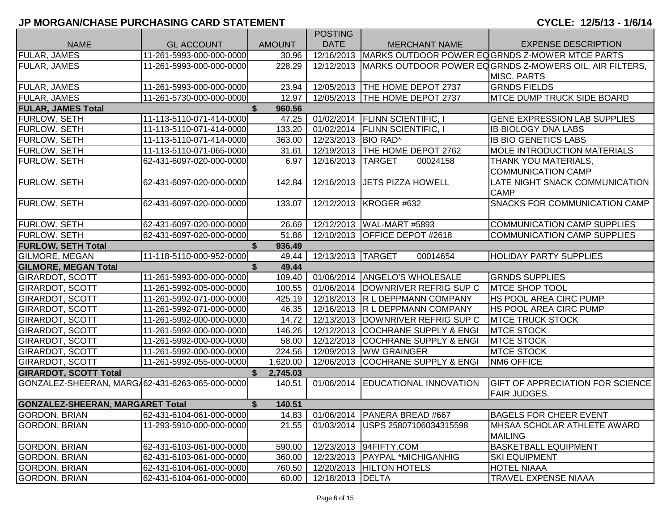|                                                 |                          |                | <b>POSTING</b>          |                                   |                                                        |
|-------------------------------------------------|--------------------------|----------------|-------------------------|-----------------------------------|--------------------------------------------------------|
| <b>NAME</b>                                     | <b>GL ACCOUNT</b>        | <b>AMOUNT</b>  | <b>DATE</b>             | <b>MERCHANT NAME</b>              | <b>EXPENSE DESCRIPTION</b>                             |
| FULAR, JAMES                                    | 11-261-5993-000-000-0000 | 30.96          | 12/16/2013              |                                   | MARKS OUTDOOR POWER EQGRNDS Z-MOWER MTCE PARTS         |
| <b>FULAR, JAMES</b>                             | 11-261-5993-000-000-0000 | 228.29         | 12/12/2013              |                                   | MARKS OUTDOOR POWER EQGRNDS Z-MOWERS OIL, AIR FILTERS, |
|                                                 |                          |                |                         |                                   | <b>MISC. PARTS</b>                                     |
| <b>FULAR, JAMES</b>                             | 11-261-5993-000-000-0000 | 23.94          |                         | 12/05/2013   THE HOME DEPOT 2737  | <b>GRNDS FIELDS</b>                                    |
| <b>FULAR, JAMES</b>                             | 11-261-5730-000-000-0000 | 12.97          | 12/05/2013              | THE HOME DEPOT 2737               | <b>MTCE DUMP TRUCK SIDE BOARD</b>                      |
| <b>FULAR, JAMES Total</b>                       |                          | 960.56         |                         |                                   |                                                        |
| <b>FURLOW, SETH</b>                             | 11-113-5110-071-414-0000 | 47.25          |                         | 01/02/2014 FLINN SCIENTIFIC, I    | <b>GENE EXPRESSION LAB SUPPLIES</b>                    |
| <b>FURLOW, SETH</b>                             | 11-113-5110-071-414-0000 | 133.20         | 01/02/2014              | <b>FLINN SCIENTIFIC, I</b>        | <b>IB BIOLOGY DNA LABS</b>                             |
| <b>FURLOW, SETH</b>                             | 11-113-5110-071-414-0000 | 363.00         | 12/23/2013 BIO RAD*     |                                   | <b>IB BIO GENETICS LABS</b>                            |
| <b>FURLOW, SETH</b>                             | 11-113-5110-071-065-0000 | 31.61          |                         | 12/19/2013   THE HOME DEPOT 2762  | <b>MOLE INTRODUCTION MATERIALS</b>                     |
| <b>FURLOW, SETH</b>                             | 62-431-6097-020-000-0000 | 6.97           | 12/16/2013 TARGET       | 00024158                          | THANK YOU MATERIALS,                                   |
|                                                 |                          |                |                         |                                   | COMMUNICATION CAMP                                     |
| <b>FURLOW, SETH</b>                             | 62-431-6097-020-000-0000 | 142.84         | 12/16/2013              | <b>JETS PIZZA HOWELL</b>          | LATE NIGHT SNACK COMMUNICATION                         |
|                                                 |                          |                |                         |                                   | <b>CAMP</b>                                            |
| <b>FURLOW, SETH</b>                             | 62-431-6097-020-000-0000 | 133.07         | 12/12/2013              | KROGER #632                       | <b>SNACKS FOR COMMUNICATION CAMP</b>                   |
|                                                 |                          |                |                         |                                   |                                                        |
| <b>FURLOW, SETH</b>                             | 62-431-6097-020-000-0000 | 26.69          |                         | 12/12/2013   WAL-MART #5893       | COMMUNICATION CAMP SUPPLIES                            |
| <b>FURLOW, SETH</b>                             | 62-431-6097-020-000-0000 | 51.86          | 12/10/2013              | OFFICE DEPOT #2618                | <b>COMMUNICATION CAMP SUPPLIES</b>                     |
| <b>FURLOW, SETH Total</b>                       |                          | 936.49         |                         |                                   |                                                        |
| <b>GILMORE, MEGAN</b>                           | 11-118-5110-000-952-0000 | 49.44          | 12/13/2013 TARGET       | 00014654                          | <b>HOLIDAY PARTY SUPPLIES</b>                          |
| <b>GILMORE, MEGAN Total</b>                     |                          | \$<br>49.44    |                         |                                   |                                                        |
| <b>GIRARDOT, SCOTT</b>                          | 11-261-5993-000-000-0000 | 109.40         |                         | 01/06/2014   ANGELO'S WHOLESALE   | <b>GRNDS SUPPLIES</b>                                  |
| <b>GIRARDOT, SCOTT</b>                          | 11-261-5992-005-000-0000 | 100.55         |                         | 01/06/2014 DOWNRIVER REFRIG SUP C | <b>MTCE SHOP TOOL</b>                                  |
| <b>GIRARDOT, SCOTT</b>                          | 11-261-5992-071-000-0000 | 425.19         | 12/18/2013              | <b>R L DEPPMANN COMPANY</b>       | <b>HS POOL AREA CIRC PUMP</b>                          |
| <b>GIRARDOT, SCOTT</b>                          | 11-261-5992-071-000-0000 | 46.35          |                         | 12/16/2013 R L DEPPMANN COMPANY   | <b>HS POOL AREA CIRC PUMP</b>                          |
| <b>GIRARDOT, SCOTT</b>                          | 11-261-5992-000-000-0000 | 14.72          |                         | 12/13/2013 DOWNRIVER REFRIG SUP C | <b>IMTCE TRUCK STOCK</b>                               |
| <b>GIRARDOT, SCOTT</b>                          | 11-261-5992-000-000-0000 | 146.26         | 12/12/2013              | <b>COCHRANE SUPPLY &amp; ENGI</b> | <b>MTCE STOCK</b>                                      |
| <b>GIRARDOT, SCOTT</b>                          | 11-261-5992-000-000-0000 | 58.00          | 12/12/2013              | <b>COCHRANE SUPPLY &amp; ENGI</b> | <b>MTCE STOCK</b>                                      |
| <b>GIRARDOT, SCOTT</b>                          | 11-261-5992-000-000-0000 | 224.56         | 12/09/2013              | <b>WW GRAINGER</b>                | <b>MTCE STOCK</b>                                      |
| <b>GIRARDOT, SCOTT</b>                          | 11-261-5992-055-000-0000 | 1,620.00       | 12/06/2013              | <b>COCHRANE SUPPLY &amp; ENGI</b> | NM6 OFFICE                                             |
| <b>GIRARDOT, SCOTT Total</b>                    |                          | \$<br>2,745.03 |                         |                                   |                                                        |
| GONZALEZ-SHEERAN, MARG/62-431-6263-065-000-0000 |                          | 140.51         | $\overline{01}/06/2014$ | EDUCATIONAL INNOVATION            | <b>GIFT OF APPRECIATION FOR SCIENCE</b>                |
|                                                 |                          |                |                         |                                   | <b>FAIR JUDGES.</b>                                    |
| <b>GONZALEZ-SHEERAN, MARGARET Total</b>         |                          | \$<br>140.51   |                         |                                   |                                                        |
| <b>GORDON, BRIAN</b>                            | 62-431-6104-061-000-0000 | 14.83          |                         | 01/06/2014   PANERA BREAD #667    | <b>BAGELS FOR CHEER EVENT</b>                          |
| <b>GORDON, BRIAN</b>                            | 11-293-5910-000-000-0000 | 21.55          | 01/03/2014              | USPS 25807106034315598            | MHSAA SCHOLAR ATHLETE AWARD                            |
|                                                 |                          |                |                         |                                   | <b>MAILING</b>                                         |
| <b>GORDON, BRIAN</b>                            | 62-431-6103-061-000-0000 | 590.00         |                         | 12/23/2013 94FIFTY.COM            | <b>BASKETBALL EQUIPMENT</b>                            |
| <b>GORDON, BRIAN</b>                            | 62-431-6103-061-000-0000 | 360.00         |                         | 12/23/2013   PAYPAL *MICHIGANHIG  | <b>SKI EQUIPMENT</b>                                   |
| <b>GORDON, BRIAN</b>                            | 62-431-6104-061-000-0000 | 760.50         |                         | 12/20/2013   HILTON HOTELS        | <b>HOTEL NIAAA</b>                                     |
| GORDON, BRIAN                                   | 62-431-6104-061-000-0000 | 60.00          | 12/18/2013 DELTA        |                                   | <b>TRAVEL EXPENSE NIAAA</b>                            |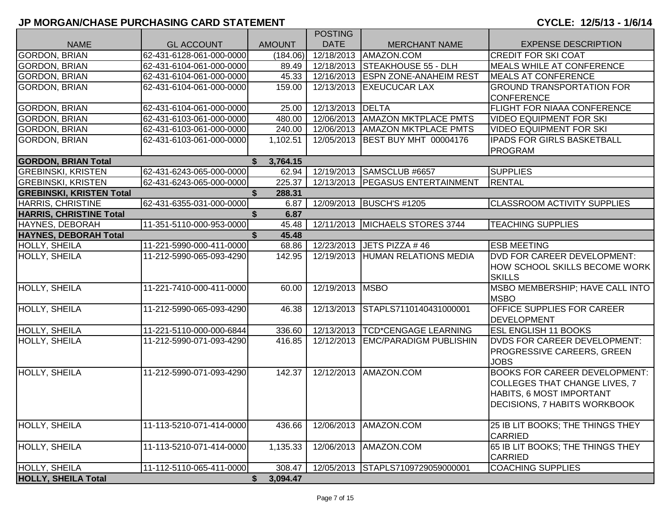|                                 |                          |                          | <b>POSTING</b>   |                                    |                                      |
|---------------------------------|--------------------------|--------------------------|------------------|------------------------------------|--------------------------------------|
| <b>NAME</b>                     | <b>GL ACCOUNT</b>        | <b>AMOUNT</b>            | <b>DATE</b>      | <b>MERCHANT NAME</b>               | <b>EXPENSE DESCRIPTION</b>           |
| <b>GORDON, BRIAN</b>            | 62-431-6128-061-000-0000 | (184.06)                 | 12/18/2013       | AMAZON.COM                         | <b>CREDIT FOR SKI COAT</b>           |
| <b>GORDON, BRIAN</b>            | 62-431-6104-061-000-0000 | 89.49                    | 12/18/2013       | <b>STEAKHOUSE 55 - DLH</b>         | <b>MEALS WHILE AT CONFERENCE</b>     |
| <b>GORDON, BRIAN</b>            | 62-431-6104-061-000-0000 | 45.33                    |                  | 12/16/2013 ESPN ZONE-ANAHEIM REST  | <b>MEALS AT CONFERENCE</b>           |
| <b>GORDON, BRIAN</b>            | 62-431-6104-061-000-0000 | 159.00                   | 12/13/2013       | <b>EXEUCUCAR LAX</b>               | <b>GROUND TRANSPORTATION FOR</b>     |
|                                 |                          |                          |                  |                                    | <b>CONFERENCE</b>                    |
| <b>GORDON, BRIAN</b>            | 62-431-6104-061-000-0000 | 25.00                    | 12/13/2013 DELTA |                                    | <b>FLIGHT FOR NIAAA CONFERENCE</b>   |
| <b>GORDON, BRIAN</b>            | 62-431-6103-061-000-0000 | 480.00                   |                  | 12/06/2013   AMAZON MKTPLACE PMTS  | <b>VIDEO EQUIPMENT FOR SKI</b>       |
| <b>GORDON, BRIAN</b>            | 62-431-6103-061-000-0000 | 240.00                   | 12/06/2013       | <b>AMAZON MKTPLACE PMTS</b>        | <b>VIDEO EQUIPMENT FOR SKI</b>       |
| <b>GORDON, BRIAN</b>            | 62-431-6103-061-000-0000 | 1,102.51                 | 12/05/2013       | <b>BEST BUY MHT 00004176</b>       | <b>IPADS FOR GIRLS BASKETBALL</b>    |
|                                 |                          |                          |                  |                                    | <b>PROGRAM</b>                       |
| <b>GORDON, BRIAN Total</b>      |                          | $\overline{\$}$ 3,764.15 |                  |                                    |                                      |
| <b>GREBINSKI, KRISTEN</b>       | 62-431-6243-065-000-0000 | 62.94                    |                  | 12/19/2013 SAMSCLUB #6657          | <b>SUPPLIES</b>                      |
| <b>GREBINSKI, KRISTEN</b>       | 62-431-6243-065-000-0000 | 225.37                   |                  | 12/13/2013   PEGASUS ENTERTAINMENT | <b>RENTAL</b>                        |
| <b>GREBINSKI, KRISTEN Total</b> |                          | \$<br>288.31             |                  |                                    |                                      |
| <b>HARRIS, CHRISTINE</b>        | 62-431-6355-031-000-0000 | 6.87                     | 12/09/2013       | <b>BUSCH'S #1205</b>               | <b>CLASSROOM ACTIVITY SUPPLIES</b>   |
| <b>HARRIS, CHRISTINE Total</b>  |                          | 6.87                     |                  |                                    |                                      |
| HAYNES, DEBORAH                 | 11-351-5110-000-953-0000 | 45.48                    | 12/11/2013       | MICHAELS STORES 3744               | <b>TEACHING SUPPLIES</b>             |
| <b>HAYNES, DEBORAH Total</b>    |                          | 45.48                    |                  |                                    |                                      |
| HOLLY, SHEILA                   | 11-221-5990-000-411-0000 | 68.86                    | 12/23/2013       | <b>JETS PIZZA #46</b>              | <b>ESB MEETING</b>                   |
| HOLLY, SHEILA                   | 11-212-5990-065-093-4290 | 142.95                   | 12/19/2013       | <b>HUMAN RELATIONS MEDIA</b>       | DVD FOR CAREER DEVELOPMENT:          |
|                                 |                          |                          |                  |                                    | HOW SCHOOL SKILLS BECOME WORK        |
|                                 |                          |                          |                  |                                    | <b>SKILLS</b>                        |
| <b>HOLLY, SHEILA</b>            | 11-221-7410-000-411-0000 | 60.00                    | 12/19/2013 MSBO  |                                    | MSBO MEMBERSHIP; HAVE CALL INTO      |
|                                 |                          |                          |                  |                                    | <b>MSBO</b>                          |
| HOLLY, SHEILA                   | 11-212-5990-065-093-4290 | 46.38                    | 12/13/2013       | STAPLS7110140431000001             | <b>OFFICE SUPPLIES FOR CAREER</b>    |
|                                 |                          |                          |                  |                                    | <b>DEVELOPMENT</b>                   |
| HOLLY, SHEILA                   | 11-221-5110-000-000-6844 | 336.60                   |                  | 12/13/2013  TCD*CENGAGE LEARNING   | <b>ESL ENGLISH 11 BOOKS</b>          |
| HOLLY, SHEILA                   | 11-212-5990-071-093-4290 | 416.85                   | 12/12/2013       | <b>EMC/PARADIGM PUBLISHIN</b>      | <b>DVDS FOR CAREER DEVELOPMENT:</b>  |
|                                 |                          |                          |                  |                                    | PROGRESSIVE CAREERS, GREEN           |
|                                 |                          |                          |                  |                                    | <b>JOBS</b>                          |
| HOLLY, SHEILA                   | 11-212-5990-071-093-4290 | 142.37                   | 12/12/2013       | AMAZON.COM                         | <b>BOOKS FOR CAREER DEVELOPMENT:</b> |
|                                 |                          |                          |                  |                                    | <b>COLLEGES THAT CHANGE LIVES, 7</b> |
|                                 |                          |                          |                  |                                    | HABITS, 6 MOST IMPORTANT             |
|                                 |                          |                          |                  |                                    | DECISIONS, 7 HABITS WORKBOOK         |
|                                 |                          |                          |                  |                                    |                                      |
| <b>HOLLY, SHEILA</b>            | 11-113-5210-071-414-0000 | 436.66                   | 12/06/2013       | AMAZON.COM                         | 25 IB LIT BOOKS; THE THINGS THEY     |
|                                 |                          |                          |                  |                                    | <b>CARRIED</b>                       |
| HOLLY, SHEILA                   | 11-113-5210-071-414-0000 | 1,135.33                 | 12/06/2013       | AMAZON.COM                         | 65 IB LIT BOOKS; THE THINGS THEY     |
|                                 |                          |                          |                  |                                    | <b>CARRIED</b>                       |
| HOLLY, SHEILA                   | 11-112-5110-065-411-0000 | 308.47                   | 12/05/2013       | STAPLS7109729059000001             | <b>COACHING SUPPLIES</b>             |
| <b>HOLLY, SHEILA Total</b>      |                          | 3,094.47<br>\$           |                  |                                    |                                      |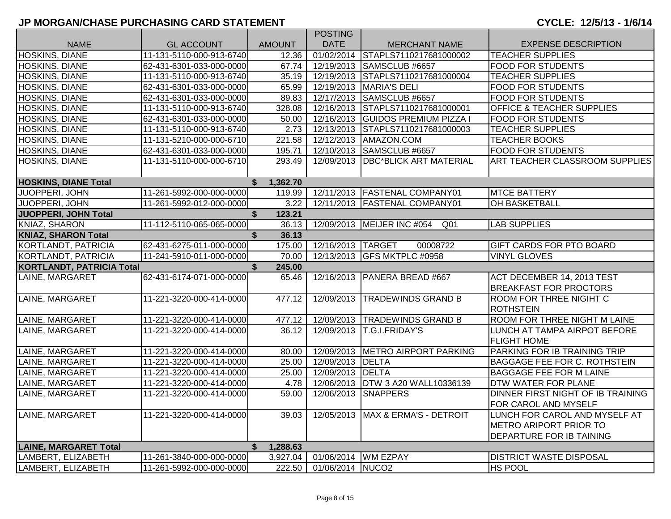|                                  |                          |                          | <b>POSTING</b>    |                                               |                                                             |
|----------------------------------|--------------------------|--------------------------|-------------------|-----------------------------------------------|-------------------------------------------------------------|
| <b>NAME</b>                      | <b>GL ACCOUNT</b>        | <b>AMOUNT</b>            | <b>DATE</b>       | <b>MERCHANT NAME</b>                          | <b>EXPENSE DESCRIPTION</b>                                  |
| HOSKINS, DIANE                   | 11-131-5110-000-913-6740 | 12.36                    |                   | 01/02/2014 STAPLS7110217681000002             | <b>TEACHER SUPPLIES</b>                                     |
| HOSKINS, DIANE                   | 62-431-6301-033-000-0000 | 67.74                    |                   | 12/19/2013 SAMSCLUB #6657                     | <b>FOOD FOR STUDENTS</b>                                    |
| HOSKINS, DIANE                   | 11-131-5110-000-913-6740 | 35.19                    |                   | 12/19/2013 STAPLS7110217681000004             | <b>TEACHER SUPPLIES</b>                                     |
| <b>HOSKINS, DIANE</b>            | 62-431-6301-033-000-0000 | 65.99                    |                   | 12/19/2013   MARIA'S DELI                     | <b>FOOD FOR STUDENTS</b>                                    |
| HOSKINS, DIANE                   | 62-431-6301-033-000-0000 | 89.83                    |                   | 12/17/2013 SAMSCLUB #6657                     | <b>FOOD FOR STUDENTS</b>                                    |
| HOSKINS, DIANE                   | 11-131-5110-000-913-6740 | 328.08                   |                   | 12/16/2013 STAPLS7110217681000001             | <b>OFFICE &amp; TEACHER SUPPLIES</b>                        |
| HOSKINS, DIANE                   | 62-431-6301-033-000-0000 | 50.00                    |                   | 12/16/2013 GUIDOS PREMIUM PIZZA I             | <b>FOOD FOR STUDENTS</b>                                    |
| <b>HOSKINS, DIANE</b>            | 11-131-5110-000-913-6740 | 2.73                     |                   | 12/13/2013 STAPLS7110217681000003             | <b>TEACHER SUPPLIES</b>                                     |
| HOSKINS, DIANE                   | 11-131-5210-000-000-6710 | 221.58                   |                   | 12/12/2013   AMAZON.COM                       | <b>TEACHER BOOKS</b>                                        |
| HOSKINS, DIANE                   | 62-431-6301-033-000-0000 | 195.71                   |                   | 12/10/2013 SAMSCLUB #6657                     | <b>FOOD FOR STUDENTS</b>                                    |
| HOSKINS, DIANE                   | 11-131-5110-000-000-6710 | 293.49                   | 12/09/2013        | <b>DBC*BLICK ART MATERIAL</b>                 | <b>ART TEACHER CLASSROOM SUPPLIES</b>                       |
| <b>HOSKINS, DIANE Total</b>      |                          | 1,362.70<br>$\mathbf{s}$ |                   |                                               |                                                             |
| JUOPPERI, JOHN                   | 11-261-5992-000-000-0000 | 119.99                   |                   | 12/11/2013   FASTENAL COMPANY01               | <b>MTCE BATTERY</b>                                         |
| JUOPPERI, JOHN                   | 11-261-5992-012-000-0000 | 3.22                     |                   | 12/11/2013   FASTENAL COMPANY01               | OH BASKETBALL                                               |
| JUOPPERI, JOHN Total             |                          | \$<br>123.21             |                   |                                               |                                                             |
| KNIAZ, SHARON                    | 11-112-5110-065-065-0000 | 36.13                    |                   | 12/09/2013 MEIJER INC #054<br>Q <sub>01</sub> | <b>LAB SUPPLIES</b>                                         |
| <b>KNIAZ, SHARON Total</b>       |                          | \$<br>36.13              |                   |                                               |                                                             |
| KORTLANDT, PATRICIA              | 62-431-6275-011-000-0000 | 175.00                   | 12/16/2013 TARGET | 00008722                                      | <b>GIFT CARDS FOR PTO BOARD</b>                             |
| KORTLANDT, PATRICIA              | 11-241-5910-011-000-0000 | 70.00                    |                   | 12/13/2013 GFS MKTPLC #0958                   | <b>VINYL GLOVES</b>                                         |
| <b>KORTLANDT, PATRICIA Total</b> |                          | \$<br>245.00             |                   |                                               |                                                             |
| LAINE, MARGARET                  | 62-431-6174-071-000-0000 | 65.46                    |                   | 12/16/2013 PANERA BREAD #667                  | ACT DECEMBER 14, 2013 TEST<br><b>BREAKFAST FOR PROCTORS</b> |
| LAINE, MARGARET                  | 11-221-3220-000-414-0000 | 477.12                   | 12/09/2013        | <b>TRADEWINDS GRAND B</b>                     | <b>ROOM FOR THREE NIGIHT C</b><br><b>ROTHSTEIN</b>          |
| LAINE, MARGARET                  | 11-221-3220-000-414-0000 | 477.12                   |                   | 12/09/2013 TRADEWINDS GRAND B                 | <b>ROOM FOR THREE NIGHT M LAINE</b>                         |
| LAINE, MARGARET                  | 11-221-3220-000-414-0000 | 36.12                    |                   | 12/09/2013 T.G.I.FRIDAY'S                     | LUNCH AT TAMPA AIRPOT BEFORE<br><b>FLIGHT HOME</b>          |
| LAINE, MARGARET                  | 11-221-3220-000-414-0000 | 80.00                    |                   | 12/09/2013   METRO AIRPORT PARKING            | PARKING FOR IB TRAINING TRIP                                |
| LAINE, MARGARET                  | 11-221-3220-000-414-0000 | 25.00                    | 12/09/2013 DELTA  |                                               | <b>BAGGAGE FEE FOR C. ROTHSTEIN</b>                         |
| LAINE, MARGARET                  | 11-221-3220-000-414-0000 | 25.00                    | 12/09/2013 DELTA  |                                               | <b>BAGGAGE FEE FOR M LAINE</b>                              |
| LAINE, MARGARET                  | 11-221-3220-000-414-0000 | 4.78                     |                   | 12/06/2013 DTW 3 A20 WALL10336139             | DTW WATER FOR PLANE                                         |
| LAINE, MARGARET                  | 11-221-3220-000-414-0000 | 59.00                    | 12/06/2013        | <b>SNAPPERS</b>                               | DINNER FIRST NIGHT OF IB TRAINING                           |
|                                  |                          |                          |                   |                                               | FOR CAROL AND MYSELF                                        |
| LAINE, MARGARET                  | 11-221-3220-000-414-0000 | 39.03                    |                   | 12/05/2013   MAX & ERMA'S - DETROIT           | LUNCH FOR CAROL AND MYSELF AT                               |
|                                  |                          |                          |                   |                                               | <b>METRO ARIPORT PRIOR TO</b>                               |
|                                  |                          |                          |                   |                                               | DEPARTURE FOR IB TAINING                                    |
| <b>LAINE, MARGARET Total</b>     |                          | \$<br>1,288.63           |                   |                                               |                                                             |
| LAMBERT, ELIZABETH               | 11-261-3840-000-000-0000 | 3,927.04                 |                   | 01/06/2014 WM EZPAY                           | <b>DISTRICT WASTE DISPOSAL</b>                              |
| LAMBERT, ELIZABETH               | 11-261-5992-000-000-0000 | 222.50                   | 01/06/2014 NUCO2  |                                               | <b>HS POOL</b>                                              |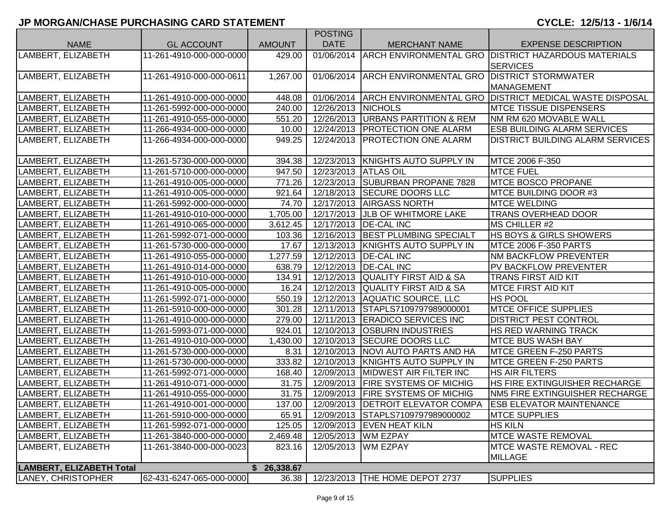|                                 |                          |               | <b>POSTING</b>       |                                                   |                                                                   |
|---------------------------------|--------------------------|---------------|----------------------|---------------------------------------------------|-------------------------------------------------------------------|
| <b>NAME</b>                     | <b>GL ACCOUNT</b>        | <b>AMOUNT</b> | <b>DATE</b>          | <b>MERCHANT NAME</b>                              | <b>EXPENSE DESCRIPTION</b>                                        |
| LAMBERT, ELIZABETH              | 11-261-4910-000-000-0000 | 429.00        | 01/06/2014           |                                                   | ARCH ENVIRONMENTAL GRO DISTRICT HAZARDOUS MATERIALS               |
|                                 |                          |               |                      |                                                   | <b>SERVICES</b>                                                   |
| LAMBERT, ELIZABETH              | 11-261-4910-000-000-0611 | 1,267.00      | 01/06/2014           | <b>ARCH ENVIRONMENTAL GRO DISTRICT STORMWATER</b> |                                                                   |
|                                 |                          |               |                      |                                                   | <b>MANAGEMENT</b>                                                 |
| LAMBERT, ELIZABETH              | 11-261-4910-000-000-0000 | 448.08        |                      |                                                   | 01/06/2014 ARCH ENVIRONMENTAL GRO DISTRICT MEDICAL WASTE DISPOSAL |
| LAMBERT, ELIZABETH              | 11-261-5992-000-000-0000 | 240.00        | 12/26/2013           | <b>NICHOLS</b>                                    | <b>MTCE TISSUE DISPENSERS</b>                                     |
| LAMBERT, ELIZABETH              | 11-261-4910-055-000-0000 | 551.20        | 12/26/2013           | <b>URBANS PARTITION &amp; REM</b>                 | NM RM 620 MOVABLE WALL                                            |
| LAMBERT, ELIZABETH              | 11-266-4934-000-000-0000 | 10.00         | 12/24/2013           | <b>PROTECTION ONE ALARM</b>                       | <b>ESB BUILDING ALARM SERVICES</b>                                |
| LAMBERT, ELIZABETH              | 11-266-4934-000-000-0000 | 949.25        | 12/24/2013           | <b>PROTECTION ONE ALARM</b>                       | <b>DISTRICT BUILDING ALARM SERVICES</b>                           |
|                                 |                          |               |                      |                                                   |                                                                   |
| LAMBERT, ELIZABETH              | 11-261-5730-000-000-0000 | 394.38        |                      | 12/23/2013   KNIGHTS AUTO SUPPLY IN               | MTCE 2006 F-350                                                   |
| LAMBERT, ELIZABETH              | 11-261-5710-000-000-0000 | 947.50        | 12/23/2013 ATLAS OIL |                                                   | <b>MTCE FUEL</b>                                                  |
| LAMBERT, ELIZABETH              | 11-261-4910-005-000-0000 | 771.26        |                      | 12/23/2013 SUBURBAN PROPANE 7828                  | <b>IMTCE BOSCO PROPANE</b>                                        |
| LAMBERT, ELIZABETH              | 11-261-4910-005-000-0000 | 921.64        |                      | 12/18/2013 SECURE DOORS LLC                       | <b>MTCE BUILDING DOOR #3</b>                                      |
| LAMBERT, ELIZABETH              | 11-261-5992-000-000-0000 | 74.70         |                      | 12/17/2013 AIRGASS NORTH                          | <b>MTCE WELDING</b>                                               |
| LAMBERT, ELIZABETH              | 11-261-4910-010-000-0000 | 1,705.00      |                      | 12/17/2013 JLB OF WHITMORE LAKE                   | <b>TRANS OVERHEAD DOOR</b>                                        |
| LAMBERT, ELIZABETH              | 11-261-4910-065-000-0000 | 3,612.45      |                      | 12/17/2013   DE-CAL INC                           | MS CHILLER #2                                                     |
| LAMBERT, ELIZABETH              | 11-261-5992-071-000-0000 | 103.36        | 12/16/2013           | <b>BEST PLUMBING SPECIALT</b>                     | <b>HS BOYS &amp; GIRLS SHOWERS</b>                                |
| LAMBERT, ELIZABETH              | 11-261-5730-000-000-0000 | 17.67         | 12/13/2013           | <b>KNIGHTS AUTO SUPPLY IN</b>                     | <b>MTCE 2006 F-350 PARTS</b>                                      |
| LAMBERT, ELIZABETH              | 11-261-4910-055-000-0000 | 1,277.59      | 12/12/2013           | <b>DE-CAL INC</b>                                 | NM BACKFLOW PREVENTER                                             |
| LAMBERT, ELIZABETH              | 11-261-4910-014-000-0000 | 638.79        | 12/12/2013           | <b>DE-CAL INC</b>                                 | PV BACKFLOW PREVENTER                                             |
| LAMBERT, ELIZABETH              | 11-261-4910-010-000-0000 | 134.91        |                      | 12/12/2013 QUALITY FIRST AID & SA                 | <b>TRANS FIRST AID KIT</b>                                        |
| LAMBERT, ELIZABETH              | 11-261-4910-005-000-0000 | 16.24         |                      | 12/12/2013 QUALITY FIRST AID & SA                 | <b>MTCE FIRST AID KIT</b>                                         |
| LAMBERT, ELIZABETH              | 11-261-5992-071-000-0000 | 550.19        |                      | 12/12/2013 AQUATIC SOURCE, LLC                    | HS POOL                                                           |
| LAMBERT, ELIZABETH              | 11-261-5910-000-000-0000 | 301.28        |                      | 12/11/2013 STAPLS7109797989000001                 | <b>IMTCE OFFICE SUPPLIES</b>                                      |
| LAMBERT, ELIZABETH              | 11-261-4910-000-000-0000 | 279.00        |                      | 12/11/2013 ERADICO SERVICES INC                   | <b>DISTRICT PEST CONTROL</b>                                      |
| LAMBERT, ELIZABETH              | 11-261-5993-071-000-0000 | 924.01        | 12/10/2013           | <b>OSBURN INDUSTRIES</b>                          | HS RED WARNING TRACK                                              |
| LAMBERT, ELIZABETH              | 11-261-4910-010-000-0000 | 1,430.00      |                      | 12/10/2013 SECURE DOORS LLC                       | <b>MTCE BUS WASH BAY</b>                                          |
| LAMBERT, ELIZABETH              | 11-261-5730-000-000-0000 | 8.31          | 12/10/2013           | NOVI AUTO PARTS AND HA                            | <b>MTCE GREEN F-250 PARTS</b>                                     |
| LAMBERT, ELIZABETH              | 11-261-5730-000-000-0000 | 333.82        | 12/10/2013           | <b>KNIGHTS AUTO SUPPLY IN</b>                     | <b>MTCE GREEN F-250 PARTS</b>                                     |
| LAMBERT, ELIZABETH              | 11-261-5992-071-000-0000 | 168.40        | 12/09/2013           | <b>MIDWEST AIR FILTER INC</b>                     | <b>HS AIR FILTERS</b>                                             |
| LAMBERT, ELIZABETH              | 11-261-4910-071-000-0000 | 31.75         | 12/09/2013           | <b>FIRE SYSTEMS OF MICHIG</b>                     | HS FIRE EXTINGUISHER RECHARGE                                     |
| LAMBERT, ELIZABETH              | 11-261-4910-055-000-0000 | 31.75         | 12/09/2013           | <b>FIRE SYSTEMS OF MICHIG</b>                     | NM5 FIRE EXTINGUISHER RECHARGE                                    |
| LAMBERT, ELIZABETH              | 11-261-4910-001-000-0000 | 137.00        | 12/09/2013           | <b>IDETROIT ELEVATOR COMPA</b>                    | <b>ESB ELEVATOR MAINTENANCE</b>                                   |
| LAMBERT, ELIZABETH              | 11-261-5910-000-000-0000 | 65.91         |                      | 12/09/2013 STAPLS7109797989000002                 | <b>MTCE SUPPLIES</b>                                              |
| LAMBERT, ELIZABETH              | 11-261-5992-071-000-0000 | 125.05        |                      | 12/09/2013   EVEN HEAT KILN                       | <b>HS KILN</b>                                                    |
| LAMBERT, ELIZABETH              | 11-261-3840-000-000-0000 | 2,469.48      |                      | 12/05/2013   WM EZPAY                             | <b>MTCE WASTE REMOVAL</b>                                         |
| LAMBERT, ELIZABETH              | 11-261-3840-000-000-0023 | 823.16        |                      | 12/05/2013 WM EZPAY                               | <b>MTCE WASTE REMOVAL - REC</b>                                   |
|                                 |                          |               |                      |                                                   | <b>MILLAGE</b>                                                    |
| <b>LAMBERT, ELIZABETH Total</b> |                          | \$26,338.67   |                      |                                                   |                                                                   |
| LANEY, CHRISTOPHER              | 62-431-6247-065-000-0000 | 36.38         |                      | 12/23/2013   THE HOME DEPOT 2737                  | <b>SUPPLIES</b>                                                   |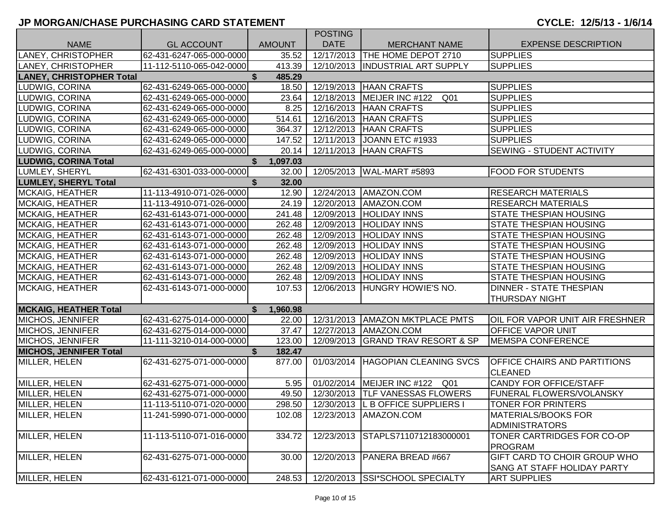|                                 |                          |                | <b>POSTING</b> |                                     |                                                                           |
|---------------------------------|--------------------------|----------------|----------------|-------------------------------------|---------------------------------------------------------------------------|
| <b>NAME</b>                     | <b>GL ACCOUNT</b>        | <b>AMOUNT</b>  | <b>DATE</b>    | <b>MERCHANT NAME</b>                | <b>EXPENSE DESCRIPTION</b>                                                |
| LANEY, CHRISTOPHER              | 62-431-6247-065-000-0000 | 35.52          |                | 12/17/2013 THE HOME DEPOT 2710      | <b>SUPPLIES</b>                                                           |
| LANEY, CHRISTOPHER              | 11-112-5110-065-042-0000 | 413.39         |                | 12/10/2013  INDUSTRIAL ART SUPPLY   | <b>SUPPLIES</b>                                                           |
| <b>LANEY, CHRISTOPHER Total</b> |                          | \$<br>485.29   |                |                                     |                                                                           |
| LUDWIG, CORINA                  | 62-431-6249-065-000-0000 | 18.50          |                | 12/19/2013   HAAN CRAFTS            | <b>SUPPLIES</b>                                                           |
| LUDWIG, CORINA                  | 62-431-6249-065-000-0000 | 23.64          |                | 12/18/2013   MEIJER INC #122<br>Q01 | <b>SUPPLIES</b>                                                           |
| LUDWIG, CORINA                  | 62-431-6249-065-000-0000 | 8.25           |                | 12/16/2013   HAAN CRAFTS            | <b>SUPPLIES</b>                                                           |
| LUDWIG, CORINA                  | 62-431-6249-065-000-0000 | 514.61         |                | 12/16/2013   HAAN CRAFTS            | <b>SUPPLIES</b>                                                           |
| LUDWIG, CORINA                  | 62-431-6249-065-000-0000 | 364.37         |                | 12/12/2013   HAAN CRAFTS            | <b>SUPPLIES</b>                                                           |
| LUDWIG, CORINA                  | 62-431-6249-065-000-0000 | 147.52         |                | 12/11/2013 JOANN ETC #1933          | <b>SUPPLIES</b>                                                           |
| LUDWIG, CORINA                  | 62-431-6249-065-000-0000 | 20.14          |                | 12/11/2013   HAAN CRAFTS            | <b>SEWING - STUDENT ACTIVITY</b>                                          |
| <b>LUDWIG, CORINA Total</b>     |                          | S.<br>1,097.03 |                |                                     |                                                                           |
| LUMLEY, SHERYL                  | 62-431-6301-033-000-0000 | 32.00          |                | 12/05/2013 WAL-MART #5893           | <b>FOOD FOR STUDENTS</b>                                                  |
| <b>LUMLEY, SHERYL Total</b>     |                          | \$<br>32.00    |                |                                     |                                                                           |
| <b>MCKAIG, HEATHER</b>          | 11-113-4910-071-026-0000 | 12.90          |                | 12/24/2013   AMAZON.COM             | <b>RESEARCH MATERIALS</b>                                                 |
| <b>MCKAIG, HEATHER</b>          | 11-113-4910-071-026-0000 | 24.19          |                | 12/20/2013   AMAZON.COM             | <b>RESEARCH MATERIALS</b>                                                 |
| <b>MCKAIG, HEATHER</b>          | 62-431-6143-071-000-0000 | 241.48         |                | 12/09/2013   HOLIDAY INNS           | <b>STATE THESPIAN HOUSING</b>                                             |
| <b>MCKAIG, HEATHER</b>          | 62-431-6143-071-000-0000 | 262.48         |                | 12/09/2013 HOLIDAY INNS             | <b>STATE THESPIAN HOUSING</b>                                             |
| <b>MCKAIG, HEATHER</b>          | 62-431-6143-071-000-0000 | 262.48         | 12/09/2013     | <b>HOLIDAY INNS</b>                 | STATE THESPIAN HOUSING                                                    |
| <b>MCKAIG, HEATHER</b>          | 62-431-6143-071-000-0000 | 262.48         | 12/09/2013     | <b>HOLIDAY INNS</b>                 | STATE THESPIAN HOUSING                                                    |
| <b>MCKAIG, HEATHER</b>          | 62-431-6143-071-000-0000 | 262.48         | 12/09/2013     | <b>HOLIDAY INNS</b>                 | <b>STATE THESPIAN HOUSING</b>                                             |
| <b>MCKAIG, HEATHER</b>          | 62-431-6143-071-000-0000 | 262.48         | 12/09/2013     | <b>HOLIDAY INNS</b>                 | <b>STATE THESPIAN HOUSING</b>                                             |
| <b>MCKAIG, HEATHER</b>          | 62-431-6143-071-000-0000 | 262.48         | 12/09/2013     | <b>HOLIDAY INNS</b>                 | <b>STATE THESPIAN HOUSING</b>                                             |
| <b>MCKAIG, HEATHER</b>          | 62-431-6143-071-000-0000 | 107.53         | 12/06/2013     | HUNGRY HOWIE'S NO.                  | <b>DINNER - STATE THESPIAN</b>                                            |
|                                 |                          |                |                |                                     | <b>THURSDAY NIGHT</b>                                                     |
| <b>MCKAIG, HEATHER Total</b>    |                          | S.<br>1,960.98 |                |                                     |                                                                           |
| MICHOS, JENNIFER                | 62-431-6275-014-000-0000 | 22.00          |                | 12/31/2013   AMAZON MKTPLACE PMTS   | OIL FOR VAPOR UNIT AIR FRESHNER                                           |
| MICHOS, JENNIFER                | 62-431-6275-014-000-0000 | 37.47          |                | 12/27/2013   AMAZON.COM             | <b>OFFICE VAPOR UNIT</b>                                                  |
| MICHOS, JENNIFER                | 11-111-3210-014-000-0000 | 123.00         |                | 12/09/2013 GRAND TRAV RESORT & SP   | <b>MEMSPA CONFERENCE</b>                                                  |
| <b>MICHOS, JENNIFER Total</b>   |                          | \$<br>182.47   |                |                                     |                                                                           |
| MILLER, HELEN                   | 62-431-6275-071-000-0000 | 877.00         |                | 01/03/2014 HAGOPIAN CLEANING SVCS   | <b>OFFICE CHAIRS AND PARTITIONS</b><br><b>CLEANED</b>                     |
| MILLER, HELEN                   | 62-431-6275-071-000-0000 | 5.95           |                | 01/02/2014   MEIJER INC #122<br>Q01 | <b>CANDY FOR OFFICE/STAFF</b>                                             |
| MILLER, HELEN                   | 62-431-6275-071-000-0000 | 49.50          |                | 12/30/2013  TLF VANESSAS FLOWERS    | <b>FUNERAL FLOWERS/VOLANSKY</b>                                           |
| MILLER, HELEN                   | 11-113-5110-071-020-0000 | 298.50         |                | 12/30/2013 L B OFFICE SUPPLIERS I   | TONER FOR PRINTERS                                                        |
| MILLER, HELEN                   | 11-241-5990-071-000-0000 | 102.08         |                | 12/23/2013   AMAZON.COM             | <b>MATERIALS/BOOKS FOR</b><br><b>ADMINISTRATORS</b>                       |
| MILLER, HELEN                   | 11-113-5110-071-016-0000 | 334.72         | 12/23/2013     | STAPLS7110712183000001              | TONER CARTRIDGES FOR CO-OP<br><b>PROGRAM</b>                              |
| MILLER, HELEN                   | 62-431-6275-071-000-0000 | 30.00          |                | 12/20/2013   PANERA BREAD #667      | <b>GIFT CARD TO CHOIR GROUP WHO</b><br><b>SANG AT STAFF HOLIDAY PARTY</b> |
| MILLER, HELEN                   | 62-431-6121-071-000-0000 | 248.53         |                | 12/20/2013 SSI*SCHOOL SPECIALTY     | <b>ART SUPPLIES</b>                                                       |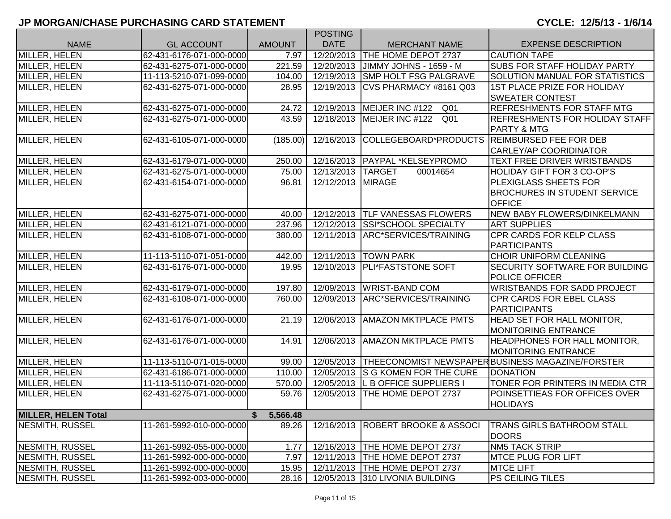|                            |                          |               | <b>POSTING</b>    |                                     |                                                             |
|----------------------------|--------------------------|---------------|-------------------|-------------------------------------|-------------------------------------------------------------|
| <b>NAME</b>                | <b>GL ACCOUNT</b>        | <b>AMOUNT</b> | <b>DATE</b>       | <b>MERCHANT NAME</b>                | <b>EXPENSE DESCRIPTION</b>                                  |
| <b>MILLER, HELEN</b>       | 62-431-6176-071-000-0000 | 7.97          | 12/20/2013        | THE HOME DEPOT 2737                 | <b>CAUTION TAPE</b>                                         |
| MILLER, HELEN              | 62-431-6275-071-000-0000 | 221.59        | 12/20/2013        | JIMMY JOHNS - 1659 - M              | <b>SUBS FOR STAFF HOLIDAY PARTY</b>                         |
| MILLER, HELEN              | 11-113-5210-071-099-0000 | 104.00        | 12/19/2013        | <b>SMP HOLT FSG PALGRAVE</b>        | <b>SOLUTION MANUAL FOR STATISTICS</b>                       |
| MILLER, HELEN              | 62-431-6275-071-000-0000 | 28.95         | 12/19/2013        | CVS PHARMACY #8161 Q03              | 1ST PLACE PRIZE FOR HOLIDAY                                 |
|                            |                          |               |                   |                                     | <b>SWEATER CONTEST</b>                                      |
| MILLER, HELEN              | 62-431-6275-071-000-0000 | 24.72         |                   | 12/19/2013   MEIJER INC #122<br>Q01 | <b>REFRESHMENTS FOR STAFF MTG</b>                           |
| <b>MILLER, HELEN</b>       | 62-431-6275-071-000-0000 | 43.59         | 12/18/2013        | Q <sub>01</sub><br>MEIJER INC #122  | REFRESHMENTS FOR HOLIDAY STAFF                              |
|                            |                          |               |                   |                                     | <b>PARTY &amp; MTG</b>                                      |
| MILLER, HELEN              | 62-431-6105-071-000-0000 | (185.00)      | 12/16/2013        | COLLEGEBOARD*PRODUCTS               | <b>REIMBURSED FEE FOR DEB</b>                               |
|                            |                          |               |                   |                                     | <b>CARLEY/AP COORIDINATOR</b>                               |
| MILLER, HELEN              | 62-431-6179-071-000-0000 | 250.00        |                   | 12/16/2013 PAYPAL *KELSEYPROMO      | TEXT FREE DRIVER WRISTBANDS                                 |
| MILLER, HELEN              | 62-431-6275-071-000-0000 | 75.00         | 12/13/2013 TARGET | 00014654                            | <b>HOLIDAY GIFT FOR 3 CO-OP'S</b>                           |
| MILLER, HELEN              | 62-431-6154-071-000-0000 | 96.81         | 12/12/2013 MIRAGE |                                     | PLEXIGLASS SHEETS FOR                                       |
|                            |                          |               |                   |                                     | <b>BROCHURES IN STUDENT SERVICE</b>                         |
|                            |                          |               |                   |                                     | <b>OFFICE</b>                                               |
| MILLER, HELEN              | 62-431-6275-071-000-0000 | 40.00         |                   | 12/12/2013 TLF VANESSAS FLOWERS     | NEW BABY FLOWERS/DINKELMANN                                 |
| MILLER, HELEN              | 62-431-6121-071-000-0000 | 237.96        |                   | 12/12/2013 SSI*SCHOOL SPECIALTY     | <b>ART SUPPLIES</b>                                         |
| MILLER, HELEN              | 62-431-6108-071-000-0000 | 380.00        | 12/11/2013        | ARC*SERVICES/TRAINING               | CPR CARDS FOR KELP CLASS                                    |
|                            |                          |               |                   |                                     | <b>PARTICIPANTS</b>                                         |
| MILLER, HELEN              | 11-113-5110-071-051-0000 | 442.00        | 12/11/2013        | <b>TOWN PARK</b>                    | CHOIR UNIFORM CLEANING                                      |
| MILLER, HELEN              | 62-431-6176-071-000-0000 | 19.95         | 12/10/2013        | <b>PLI*FASTSTONE SOFT</b>           | SECURITY SOFTWARE FOR BUILDING                              |
|                            |                          |               |                   |                                     | POLICE OFFICER                                              |
| MILLER, HELEN              | 62-431-6179-071-000-0000 | 197.80        |                   | 12/09/2013   WRIST-BAND COM         | <b>WRISTBANDS FOR SADD PROJECT</b>                          |
| MILLER, HELEN              | 62-431-6108-071-000-0000 | 760.00        | 12/09/2013        | ARC*SERVICES/TRAINING               | CPR CARDS FOR EBEL CLASS                                    |
|                            |                          |               |                   |                                     | <b>PARTICIPANTS</b>                                         |
| MILLER, HELEN              | 62-431-6176-071-000-0000 | 21.19         | 12/06/2013        | <b>AMAZON MKTPLACE PMTS</b>         | HEAD SET FOR HALL MONITOR,                                  |
|                            |                          |               |                   |                                     | <b>MONITORING ENTRANCE</b>                                  |
| MILLER, HELEN              | 62-431-6176-071-000-0000 | 14.91         | 12/06/2013        | <b>AMAZON MKTPLACE PMTS</b>         | <b>HEADPHONES FOR HALL MONITOR,</b>                         |
|                            |                          |               |                   |                                     | <b>MONITORING ENTRANCE</b>                                  |
| MILLER, HELEN              | 11-113-5110-071-015-0000 | 99.00         |                   |                                     | 12/05/2013 THEECONOMIST NEWSPAPER BUSINESS MAGAZINE/FORSTER |
| MILLER, HELEN              | 62-431-6186-071-000-0000 | 110.00        | 12/05/2013        | <b>S G KOMEN FOR THE CURE</b>       | <b>DONATION</b>                                             |
| MILLER, HELEN              | 11-113-5110-071-020-0000 | 570.00        | 12/05/2013        | L B OFFICE SUPPLIERS I              | TONER FOR PRINTERS IN MEDIA CTR                             |
| MILLER, HELEN              | 62-431-6275-071-000-0000 | 59.76         | 12/05/2013        | THE HOME DEPOT 2737                 | POINSETTIEAS FOR OFFICES OVER                               |
|                            |                          |               |                   |                                     | <b>HOLIDAYS</b>                                             |
| <b>MILLER, HELEN Total</b> |                          | 5,566.48      |                   |                                     |                                                             |
| NESMITH, RUSSEL            | 11-261-5992-010-000-0000 | 89.26         | 12/16/2013        | <b>ROBERT BROOKE &amp; ASSOCI</b>   | <b>TRANS GIRLS BATHROOM STALL</b>                           |
|                            |                          |               |                   |                                     | <b>DOORS</b>                                                |
| NESMITH, RUSSEL            | 11-261-5992-055-000-0000 | 1.77          |                   | 12/16/2013   THE HOME DEPOT 2737    | <b>NM5 TACK STRIP</b>                                       |
| <b>NESMITH, RUSSEL</b>     | 11-261-5992-000-000-0000 | 7.97          |                   | 12/11/2013 THE HOME DEPOT 2737      | <b>MTCE PLUG FOR LIFT</b>                                   |
| <b>NESMITH, RUSSEL</b>     | 11-261-5992-000-000-0000 | 15.95         |                   | 12/11/2013 THE HOME DEPOT 2737      | <b>MTCE LIFT</b>                                            |
| <b>NESMITH, RUSSEL</b>     | 11-261-5992-003-000-0000 | 28.16         |                   | 12/05/2013 310 LIVONIA BUILDING     | PS CEILING TILES                                            |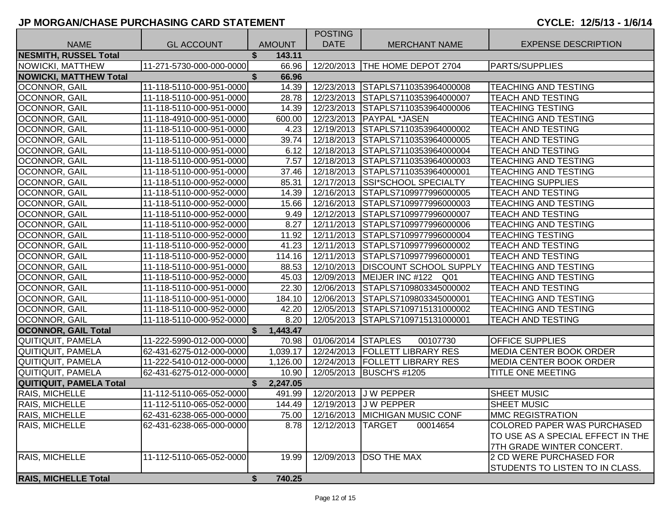|                                |                          |                | <b>POSTING</b>     |                                     |                                    |
|--------------------------------|--------------------------|----------------|--------------------|-------------------------------------|------------------------------------|
| <b>NAME</b>                    | <b>GL ACCOUNT</b>        | <b>AMOUNT</b>  | <b>DATE</b>        | <b>MERCHANT NAME</b>                | <b>EXPENSE DESCRIPTION</b>         |
| <b>NESMITH, RUSSEL Total</b>   |                          | 143.11         |                    |                                     |                                    |
| NOWICKI, MATTHEW               | 11-271-5730-000-000-0000 | 66.96          |                    | 12/20/2013   THE HOME DEPOT 2704    | <b>PARTS/SUPPLIES</b>              |
| <b>NOWICKI, MATTHEW Total</b>  |                          | 66.96          |                    |                                     |                                    |
| <b>OCONNOR, GAIL</b>           | 11-118-5110-000-951-0000 | 14.39          |                    | 12/23/2013 STAPLS7110353964000008   | <b>TEACHING AND TESTING</b>        |
| OCONNOR, GAIL                  | 11-118-5110-000-951-0000 | 28.78          |                    | 12/23/2013 STAPLS7110353964000007   | <b>TEACH AND TESTING</b>           |
| <b>OCONNOR, GAIL</b>           | 11-118-5110-000-951-0000 | 14.39          |                    | 12/23/2013 STAPLS7110353964000006   | <b>TEACHING TESTING</b>            |
| <b>OCONNOR, GAIL</b>           | 11-118-4910-000-951-0000 | 600.00         |                    | 12/23/2013   PAYPAL *JASEN          | <b>TEACHING AND TESTING</b>        |
| <b>OCONNOR, GAIL</b>           | 11-118-5110-000-951-0000 | 4.23           |                    | 12/19/2013 STAPLS7110353964000002   | <b>TEACH AND TESTING</b>           |
| <b>OCONNOR, GAIL</b>           | 11-118-5110-000-951-0000 | 39.74          |                    | 12/18/2013 STAPLS7110353964000005   | <b>TEACH AND TESTING</b>           |
| <b>OCONNOR, GAIL</b>           | 11-118-5110-000-951-0000 | 6.12           |                    | 12/18/2013 STAPLS7110353964000004   | TEACH AND TESTING                  |
| <b>OCONNOR, GAIL</b>           | 11-118-5110-000-951-0000 | 7.57           |                    | 12/18/2013 STAPLS7110353964000003   | TEACHING AND TESTING               |
| <b>OCONNOR, GAIL</b>           | 11-118-5110-000-951-0000 | 37.46          |                    | 12/18/2013 STAPLS7110353964000001   | <b>TEACHING AND TESTING</b>        |
| <b>OCONNOR, GAIL</b>           | 11-118-5110-000-952-0000 | 85.31          |                    | 12/17/2013 SSI*SCHOOL SPECIALTY     | <b>TEACHING SUPPLIES</b>           |
| OCONNOR, GAIL                  | 11-118-5110-000-952-0000 | 14.39          |                    | 12/16/2013 STAPLS7109977996000005   | TEACH AND TESTING                  |
| <b>OCONNOR, GAIL</b>           | 11-118-5110-000-952-0000 | 15.66          |                    | 12/16/2013 STAPLS7109977996000003   | TEACHING AND TESTING               |
| OCONNOR, GAIL                  | 11-118-5110-000-952-0000 | 9.49           |                    | 12/12/2013 STAPLS7109977996000007   | <b>TEACH AND TESTING</b>           |
| OCONNOR, GAIL                  | 11-118-5110-000-952-0000 | 8.27           |                    | 12/11/2013 STAPLS7109977996000006   | TEACHING AND TESTING               |
| <b>OCONNOR, GAIL</b>           | 11-118-5110-000-952-0000 | 11.92          |                    | 12/11/2013 STAPLS7109977996000004   | <b>TEACHING TESTING</b>            |
| <b>OCONNOR, GAIL</b>           | 11-118-5110-000-952-0000 | 41.23          |                    | 12/11/2013 STAPLS7109977996000002   | <b>TEACH AND TESTING</b>           |
| <b>OCONNOR, GAIL</b>           | 11-118-5110-000-952-0000 | 114.16         |                    | 12/11/2013 STAPLS7109977996000001   | <b>TEACH AND TESTING</b>           |
| <b>OCONNOR, GAIL</b>           | 11-118-5110-000-951-0000 | 88.53          |                    | 12/10/2013   DISCOUNT SCHOOL SUPPLY | <b>TEACHING AND TESTING</b>        |
| <b>OCONNOR, GAIL</b>           | 11-118-5110-000-952-0000 | 45.03          |                    | 12/09/2013   MEIJER INC #122 Q01    | <b>TEACHING AND TESTING</b>        |
| <b>OCONNOR, GAIL</b>           | 11-118-5110-000-951-0000 | 22.30          |                    | 12/06/2013 STAPLS7109803345000002   | <b>TEACH AND TESTING</b>           |
| <b>OCONNOR, GAIL</b>           | 11-118-5110-000-951-0000 | 184.10         |                    | 12/06/2013 STAPLS7109803345000001   | <b>TEACHING AND TESTING</b>        |
| <b>OCONNOR, GAIL</b>           | 11-118-5110-000-952-0000 | 42.20          |                    | 12/05/2013 STAPLS7109715131000002   | <b>TEACHING AND TESTING</b>        |
| <b>OCONNOR, GAIL</b>           | 11-118-5110-000-952-0000 | 8.20           |                    | 12/05/2013 STAPLS7109715131000001   | <b>TEACH AND TESTING</b>           |
| <b>OCONNOR, GAIL Total</b>     |                          | 1,443.47       |                    |                                     |                                    |
| QUITIQUIT, PAMELA              | 11-222-5990-012-000-0000 | 70.98          | 01/06/2014 STAPLES | 00107730                            | <b>OFFICE SUPPLIES</b>             |
| QUITIQUIT, PAMELA              | 62-431-6275-012-000-0000 | 1,039.17       |                    | 12/24/2013   FOLLETT LIBRARY RES    | <b>MEDIA CENTER BOOK ORDER</b>     |
| QUITIQUIT, PAMELA              | 11-222-5410-012-000-0000 | 1,126.00       |                    | 12/24/2013   FOLLETT LIBRARY RES    | <b>MEDIA CENTER BOOK ORDER</b>     |
| QUITIQUIT, PAMELA              | 62-431-6275-012-000-0000 | 10.90          |                    | 12/05/2013 BUSCH'S #1205            | <b>TITLE ONE MEETING</b>           |
| <b>QUITIQUIT, PAMELA Total</b> |                          | 2,247.05<br>\$ |                    |                                     |                                    |
| <b>RAIS, MICHELLE</b>          | 11-112-5110-065-052-0000 | 491.99         |                    | 12/20/2013 J W PEPPER               | SHEET MUSIC                        |
| <b>RAIS, MICHELLE</b>          | 11-112-5110-065-052-0000 | 144.49         |                    | 12/19/2013 J W PEPPER               | <b>SHEET MUSIC</b>                 |
| <b>RAIS, MICHELLE</b>          | 62-431-6238-065-000-0000 | 75.00          |                    | 12/16/2013 MICHIGAN MUSIC CONF      | <b>IMMC REGISTRATION</b>           |
| RAIS, MICHELLE                 | 62-431-6238-065-000-0000 | 8.78           | 12/12/2013 TARGET  | 00014654                            | <b>COLORED PAPER WAS PURCHASED</b> |
|                                |                          |                |                    |                                     | TO USE AS A SPECIAL EFFECT IN THE  |
|                                |                          |                |                    |                                     | 7TH GRADE WINTER CONCERT.          |
| <b>RAIS, MICHELLE</b>          | 11-112-5110-065-052-0000 | 19.99          | 12/09/2013         | <b>DSO THE MAX</b>                  | 2 CD WERE PURCHASED FOR            |
|                                |                          |                |                    |                                     | STUDENTS TO LISTEN TO IN CLASS.    |
| <b>RAIS, MICHELLE Total</b>    |                          | 740.25<br>\$   |                    |                                     |                                    |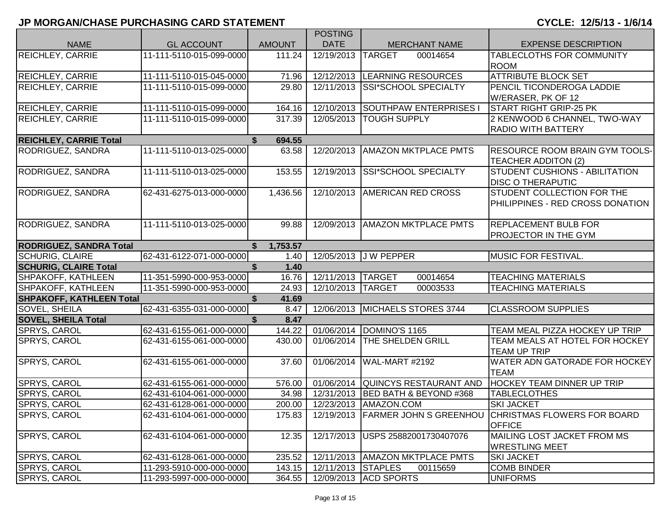|                                 |                          |               | <b>POSTING</b>     |                                   |                                                                     |
|---------------------------------|--------------------------|---------------|--------------------|-----------------------------------|---------------------------------------------------------------------|
| <b>NAME</b>                     | <b>GL ACCOUNT</b>        | <b>AMOUNT</b> | <b>DATE</b>        | <b>MERCHANT NAME</b>              | <b>EXPENSE DESCRIPTION</b>                                          |
| <b>REICHLEY, CARRIE</b>         | 11-111-5110-015-099-0000 | 111.24        | 12/19/2013         | <b>TARGET</b><br>00014654         | TABLECLOTHS FOR COMMUNITY<br><b>ROOM</b>                            |
| <b>REICHLEY, CARRIE</b>         | 11-111-5110-015-045-0000 | 71.96         |                    | 12/12/2013 LEARNING RESOURCES     | <b>ATTRIBUTE BLOCK SET</b>                                          |
| <b>REICHLEY, CARRIE</b>         | 11-111-5110-015-099-0000 | 29.80         | 12/11/2013         | SSI*SCHOOL SPECIALTY              | PENCIL TICONDEROGA LADDIE<br>W/ERASER, PK OF 12                     |
| <b>REICHLEY, CARRIE</b>         | 11-111-5110-015-099-0000 | 164.16        | 12/10/2013         | <b>SOUTHPAW ENTERPRISES I</b>     | <b>START RIGHT GRIP-25 PK</b>                                       |
| REICHLEY, CARRIE                | 11-111-5110-015-099-0000 | 317.39        | 12/05/2013         | <b>TOUGH SUPPLY</b>               | 2 KENWOOD 6 CHANNEL, TWO-WAY                                        |
|                                 |                          |               |                    |                                   | <b>RADIO WITH BATTERY</b>                                           |
| <b>REICHLEY, CARRIE Total</b>   |                          | \$<br>694.55  |                    |                                   |                                                                     |
| RODRIGUEZ, SANDRA               | 11-111-5110-013-025-0000 | 63.58         | 12/20/2013         | <b>AMAZON MKTPLACE PMTS</b>       | <b>RESOURCE ROOM BRAIN GYM TOOLS-</b><br><b>TEACHER ADDITON (2)</b> |
| RODRIGUEZ, SANDRA               | 11-111-5110-013-025-0000 | 153.55        | 12/19/2013         | <b>SSI*SCHOOL SPECIALTY</b>       | <b>STUDENT CUSHIONS - ABILITATION</b><br><b>DISC O THERAPUTIC</b>   |
| RODRIGUEZ, SANDRA               | 62-431-6275-013-000-0000 | 1,436.56      |                    | 12/10/2013   AMERICAN RED CROSS   | STUDENT COLLECTION FOR THE<br>PHILIPPINES - RED CROSS DONATION      |
| RODRIGUEZ, SANDRA               | 11-111-5110-013-025-0000 | 99.88         | 12/09/2013         | <b>AMAZON MKTPLACE PMTS</b>       | <b>REPLACEMENT BULB FOR</b><br><b>PROJECTOR IN THE GYM</b>          |
| <b>RODRIGUEZ, SANDRA Total</b>  |                          | 1,753.57      |                    |                                   |                                                                     |
| <b>SCHURIG, CLAIRE</b>          | 62-431-6122-071-000-0000 | 1.40          |                    | 12/05/2013 J W PEPPER             | MUSIC FOR FESTIVAL.                                                 |
| <b>SCHURIG, CLAIRE Total</b>    |                          | \$<br>1.40    |                    |                                   |                                                                     |
| SHPAKOFF, KATHLEEN              | 11-351-5990-000-953-0000 | 16.76         | 12/11/2013 TARGET  | 00014654                          | <b>TEACHING MATERIALS</b>                                           |
| SHPAKOFF, KATHLEEN              | 11-351-5990-000-953-0000 | 24.93         | 12/10/2013 TARGET  | 00003533                          | <b>TEACHING MATERIALS</b>                                           |
| <b>SHPAKOFF, KATHLEEN Total</b> |                          | \$<br>41.69   |                    |                                   |                                                                     |
| <b>SOVEL, SHEILA</b>            | 62-431-6355-031-000-0000 | 8.47          | 12/06/2013         | MICHAELS STORES 3744              | <b>CLASSROOM SUPPLIES</b>                                           |
| <b>SOVEL, SHEILA Total</b>      |                          | \$<br>8.47    |                    |                                   |                                                                     |
| SPRYS, CAROL                    | 62-431-6155-061-000-0000 | 144.22        |                    | 01/06/2014  DOMINO'S 1165         | TEAM MEAL PIZZA HOCKEY UP TRIP                                      |
| SPRYS, CAROL                    | 62-431-6155-061-000-0000 | 430.00        | 01/06/2014         | <b>THE SHELDEN GRILL</b>          | TEAM MEALS AT HOTEL FOR HOCKEY<br><b>TEAM UP TRIP</b>               |
| SPRYS, CAROL                    | 62-431-6155-061-000-0000 | 37.60         | 01/06/2014         | WAL-MART #2192                    | WATER ADN GATORADE FOR HOCKEY<br><b>TEAM</b>                        |
| SPRYS, CAROL                    | 62-431-6155-061-000-0000 | 576.00        |                    | 01/06/2014 QUINCYS RESTAURANT AND | <b>HOCKEY TEAM DINNER UP TRIP</b>                                   |
| <b>SPRYS, CAROL</b>             | 62-431-6104-061-000-0000 | 34.98         | 12/31/2013         | <b>BED BATH &amp; BEYOND #368</b> | <b>TABLECLOTHES</b>                                                 |
| <b>SPRYS, CAROL</b>             | 62-431-6128-061-000-0000 | 200.00        | 12/23/2013         | AMAZON.COM                        | <b>SKI JACKET</b>                                                   |
| <b>SPRYS, CAROL</b>             | 62-431-6104-061-000-0000 | 175.83        |                    | 12/19/2013 FARMER JOHN S GREENHOU | <b>CHRISTMAS FLOWERS FOR BOARD</b><br><b>OFFICE</b>                 |
| <b>SPRYS, CAROL</b>             | 62-431-6104-061-000-0000 | 12.35         | 12/17/2013         | USPS 25882001730407076            | MAILING LOST JACKET FROM MS<br><b>WRESTLING MEET</b>                |
| <b>SPRYS, CAROL</b>             | 62-431-6128-061-000-0000 | 235.52        |                    | 12/11/2013   AMAZON MKTPLACE PMTS | <b>SKI JACKET</b>                                                   |
| <b>SPRYS, CAROL</b>             | 11-293-5910-000-000-0000 | 143.15        | 12/11/2013 STAPLES | 00115659                          | <b>COMB BINDER</b>                                                  |
| SPRYS, CAROL                    | 11-293-5997-000-000-0000 | 364.55        |                    | 12/09/2013 ACD SPORTS             | <b>UNIFORMS</b>                                                     |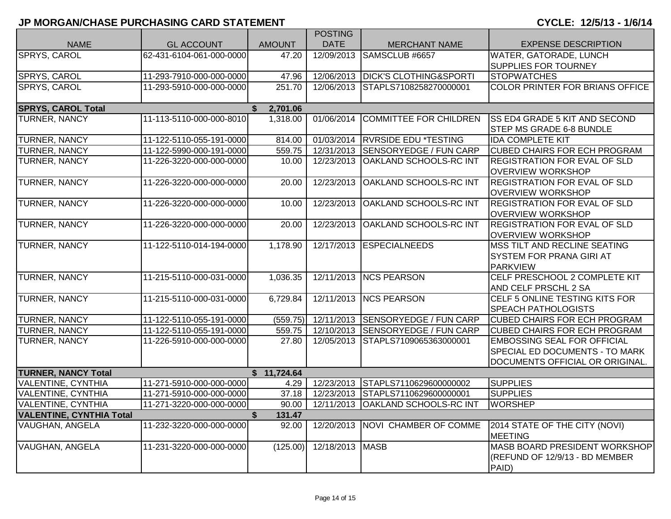|                                 |                          |                          | <b>POSTING</b>  |                                   |                                       |
|---------------------------------|--------------------------|--------------------------|-----------------|-----------------------------------|---------------------------------------|
| <b>NAME</b>                     | <b>GL ACCOUNT</b>        | <b>AMOUNT</b>            | <b>DATE</b>     | <b>MERCHANT NAME</b>              | <b>EXPENSE DESCRIPTION</b>            |
| SPRYS, CAROL                    | 62-431-6104-061-000-0000 | 47.20                    | 12/09/2013      | SAMSCLUB #6657                    | WATER, GATORADE, LUNCH                |
|                                 |                          |                          |                 |                                   | <b>SUPPLIES FOR TOURNEY</b>           |
| <b>SPRYS, CAROL</b>             | 11-293-7910-000-000-0000 | 47.96                    |                 | 12/06/2013 DICK'S CLOTHING&SPORTI | <b>STOPWATCHES</b>                    |
| SPRYS, CAROL                    | 11-293-5910-000-000-0000 | 251.70                   |                 | 12/06/2013 STAPLS7108258270000001 | COLOR PRINTER FOR BRIANS OFFICE       |
| <b>SPRYS, CAROL Total</b>       |                          | 2,701.06<br>$\mathbf{s}$ |                 |                                   |                                       |
| <b>TURNER, NANCY</b>            | 11-113-5110-000-000-8010 | 1,318.00                 | 01/06/2014      | <b>COMMITTEE FOR CHILDREN</b>     | <b>SS ED4 GRADE 5 KIT AND SECOND</b>  |
|                                 |                          |                          |                 |                                   | STEP MS GRADE 6-8 BUNDLE              |
| <b>TURNER, NANCY</b>            | 11-122-5110-055-191-0000 | 814.00                   |                 | 01/03/2014 RVRSIDE EDU *TESTING   | <b>IDA COMPLETE KIT</b>               |
| <b>TURNER, NANCY</b>            | 11-122-5990-000-191-0000 | 559.75                   |                 | 12/31/2013 SENSORYEDGE / FUN CARP | <b>CUBED CHAIRS FOR ECH PROGRAM</b>   |
| <b>TURNER, NANCY</b>            | 11-226-3220-000-000-0000 | 10.00                    | 12/23/2013      | <b>OAKLAND SCHOOLS-RC INT</b>     | <b>REGISTRATION FOR EVAL OF SLD</b>   |
|                                 |                          |                          |                 |                                   | <b>OVERVIEW WORKSHOP</b>              |
| TURNER, NANCY                   | 11-226-3220-000-000-0000 | 20.00                    | 12/23/2013      | <b>OAKLAND SCHOOLS-RC INT</b>     | <b>REGISTRATION FOR EVAL OF SLD</b>   |
|                                 |                          |                          |                 |                                   | <b>OVERVIEW WORKSHOP</b>              |
| TURNER, NANCY                   | 11-226-3220-000-000-0000 | 10.00                    | 12/23/2013      | OAKLAND SCHOOLS-RC INT            | <b>REGISTRATION FOR EVAL OF SLD</b>   |
|                                 |                          |                          |                 |                                   | <b>OVERVIEW WORKSHOP</b>              |
| <b>TURNER, NANCY</b>            | 11-226-3220-000-000-0000 | 20.00                    | 12/23/2013      | <b>OAKLAND SCHOOLS-RC INT</b>     | <b>REGISTRATION FOR EVAL OF SLD</b>   |
|                                 |                          |                          |                 |                                   | <b>OVERVIEW WORKSHOP</b>              |
| <b>TURNER, NANCY</b>            | 11-122-5110-014-194-0000 | 1,178.90                 |                 | 12/17/2013 ESPECIALNEEDS          | MSS TILT AND RECLINE SEATING          |
|                                 |                          |                          |                 |                                   | <b>SYSTEM FOR PRANA GIRI AT</b>       |
|                                 |                          |                          |                 |                                   | <b>PARKVIEW</b>                       |
| <b>TURNER, NANCY</b>            | 11-215-5110-000-031-0000 | 1,036.35                 |                 | 12/11/2013 NCS PEARSON            | CELF PRESCHOOL 2 COMPLETE KIT         |
|                                 |                          |                          |                 |                                   | AND CELF PRSCHL 2 SA                  |
| <b>TURNER, NANCY</b>            | 11-215-5110-000-031-0000 | 6,729.84                 | 12/11/2013      | <b>NCS PEARSON</b>                | CELF 5 ONLINE TESTING KITS FOR        |
|                                 |                          |                          |                 |                                   | <b>SPEACH PATHOLOGISTS</b>            |
| <b>TURNER, NANCY</b>            | 11-122-5110-055-191-0000 | (559.75)                 |                 | 12/11/2013 SENSORYEDGE / FUN CARP | <b>CUBED CHAIRS FOR ECH PROGRAM</b>   |
| <b>TURNER, NANCY</b>            | 11-122-5110-055-191-0000 | 559.75                   |                 | 12/10/2013 SENSORYEDGE / FUN CARP | <b>CUBED CHAIRS FOR ECH PROGRAM</b>   |
| <b>TURNER, NANCY</b>            | 11-226-5910-000-000-0000 | 27.80                    |                 | 12/05/2013 STAPLS7109065363000001 | <b>EMBOSSING SEAL FOR OFFICIAL</b>    |
|                                 |                          |                          |                 |                                   | <b>SPECIAL ED DOCUMENTS - TO MARK</b> |
|                                 |                          |                          |                 |                                   | DOCUMENTS OFFICIAL OR ORIGINAL.       |
| <b>TURNER, NANCY Total</b>      |                          | \$11,724.64              |                 |                                   |                                       |
| <b>VALENTINE, CYNTHIA</b>       | 11-271-5910-000-000-0000 | 4.29                     |                 | 12/23/2013 STAPLS7110629600000002 | <b>SUPPLIES</b>                       |
| <b>VALENTINE, CYNTHIA</b>       | 11-271-5910-000-000-0000 | 37.18                    |                 | 12/23/2013 STAPLS7110629600000001 | <b>SUPPLIES</b>                       |
| <b>VALENTINE, CYNTHIA</b>       | 11-271-3220-000-000-0000 | 90.00                    | 12/11/2013      | <b>OAKLAND SCHOOLS-RC INT</b>     | <b>WORSHEP</b>                        |
| <b>VALENTINE, CYNTHIA Total</b> |                          | \$<br>131.47             |                 |                                   |                                       |
| <b>VAUGHAN, ANGELA</b>          | 11-232-3220-000-000-0000 | 92.00                    |                 | 12/20/2013 NOVI CHAMBER OF COMME  | 2014 STATE OF THE CITY (NOVI)         |
|                                 |                          |                          |                 |                                   | <b>MEETING</b>                        |
| <b>VAUGHAN, ANGELA</b>          | 11-231-3220-000-000-0000 | (125.00)                 | 12/18/2013 MASB |                                   | MASB BOARD PRESIDENT WORKSHOP         |
|                                 |                          |                          |                 |                                   | (REFUND OF 12/9/13 - BD MEMBER        |
|                                 |                          |                          |                 |                                   | PAID)                                 |